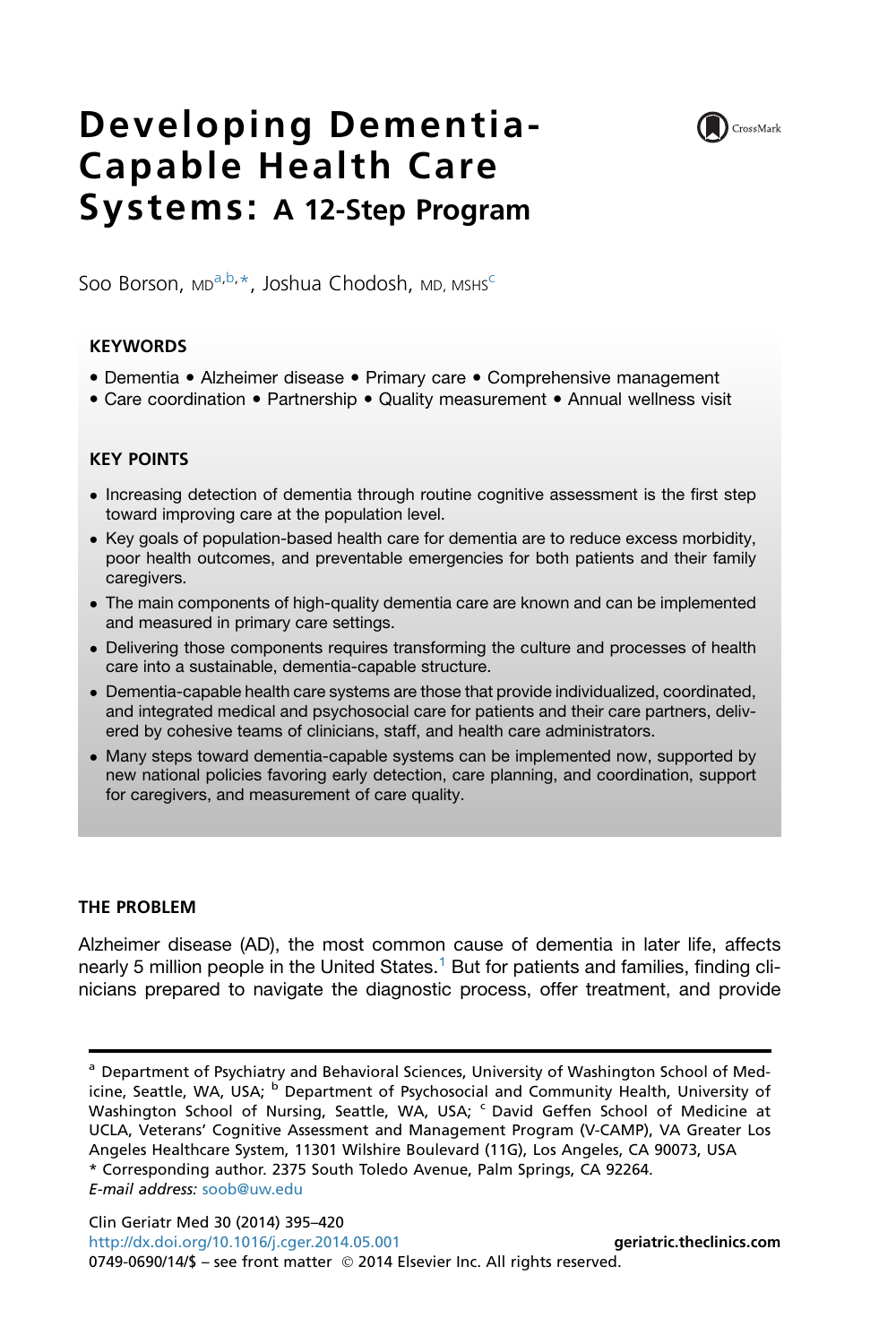

# Developing Dementia-Capable Health Care Systems: A 12-Step Program

Soo Borson, <sub>MD</sub>a,b,\*, Joshua Chodosh, <sub>MD, MSHS</sub>c

# **KEYWORDS**

- Dementia Alzheimer disease Primary care Comprehensive management
- Care coordination Partnership Quality measurement Annual wellness visit

### KEY POINTS

- Increasing detection of dementia through routine cognitive assessment is the first step toward improving care at the population level.
- Key goals of population-based health care for dementia are to reduce excess morbidity, poor health outcomes, and preventable emergencies for both patients and their family caregivers.
- The main components of high-quality dementia care are known and can be implemented and measured in primary care settings.
- Delivering those components requires transforming the culture and processes of health care into a sustainable, dementia-capable structure.
- Dementia-capable health care systems are those that provide individualized, coordinated, and integrated medical and psychosocial care for patients and their care partners, delivered by cohesive teams of clinicians, staff, and health care administrators.
- Many steps toward dementia-capable systems can be implemented now, supported by new national policies favoring early detection, care planning, and coordination, support for caregivers, and measurement of care quality.

### THE PROBLEM

Alzheimer disease (AD), the most common cause of dementia in later life, affects nearly 5 million people in the United States.<sup>[1](#page-20-0)</sup> But for patients and families, finding clinicians prepared to navigate the diagnostic process, offer treatment, and provide

<sup>&</sup>lt;sup>a</sup> Department of Psychiatry and Behavioral Sciences, University of Washington School of Medicine, Seattle, WA, USA; <sup>b</sup> Department of Psychosocial and Community Health, University of Washington School of Nursing, Seattle, WA, USA; <sup>c</sup> David Geffen School of Medicine at UCLA, Veterans' Cognitive Assessment and Management Program (V-CAMP), VA Greater Los Angeles Healthcare System, 11301 Wilshire Boulevard (11G), Los Angeles, CA 90073, USA \* Corresponding author. 2375 South Toledo Avenue, Palm Springs, CA 92264. E-mail address: [soob@uw.edu](mailto:soob@uw.edu)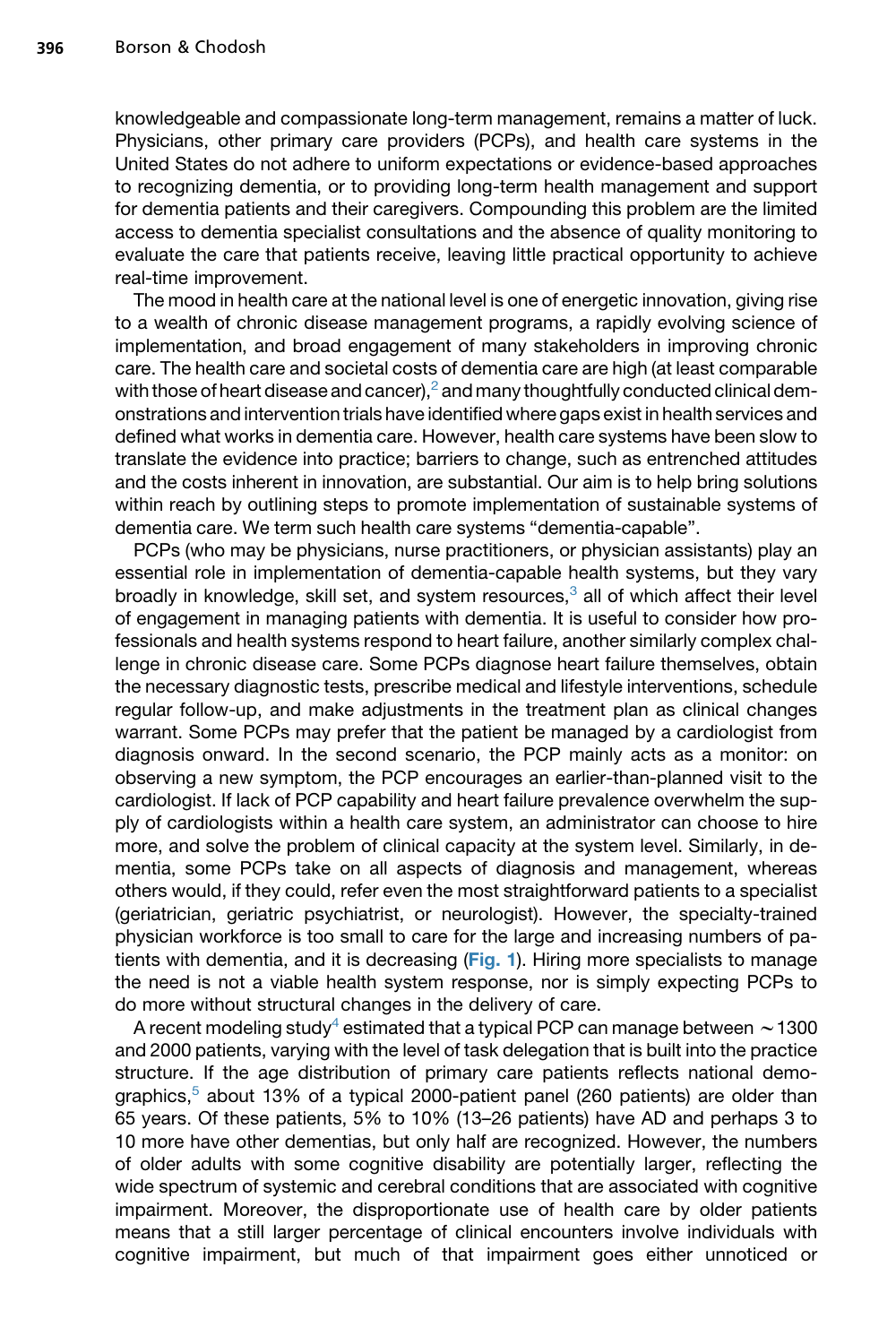knowledgeable and compassionate long-term management, remains a matter of luck. Physicians, other primary care providers (PCPs), and health care systems in the United States do not adhere to uniform expectations or evidence-based approaches to recognizing dementia, or to providing long-term health management and support for dementia patients and their caregivers. Compounding this problem are the limited access to dementia specialist consultations and the absence of quality monitoring to evaluate the care that patients receive, leaving little practical opportunity to achieve real-time improvement.

The mood in health care at the national level is one of energetic innovation, giving rise to a wealth of chronic disease management programs, a rapidly evolving science of implementation, and broad engagement of many stakeholders in improving chronic care. The health care and societal costs of dementia care are high (at least comparable with those of heart disease and cancer),  $2$  and many thoughtfully conducted clinical demonstrations and intervention trials have identified where gaps exist in health services and defined what works in dementia care. However, health care systems have been slow to translate the evidence into practice; barriers to change, such as entrenched attitudes and the costs inherent in innovation, are substantial. Our aim is to help bring solutions within reach by outlining steps to promote implementation of sustainable systems of dementia care. We term such health care systems "dementia-capable".

PCPs (who may be physicians, nurse practitioners, or physician assistants) play an essential role in implementation of dementia-capable health systems, but they vary broadly in knowledge, skill set, and system resources, $3$  all of which affect their level of engagement in managing patients with dementia. It is useful to consider how professionals and health systems respond to heart failure, another similarly complex challenge in chronic disease care. Some PCPs diagnose heart failure themselves, obtain the necessary diagnostic tests, prescribe medical and lifestyle interventions, schedule regular follow-up, and make adjustments in the treatment plan as clinical changes warrant. Some PCPs may prefer that the patient be managed by a cardiologist from diagnosis onward. In the second scenario, the PCP mainly acts as a monitor: on observing a new symptom, the PCP encourages an earlier-than-planned visit to the cardiologist. If lack of PCP capability and heart failure prevalence overwhelm the supply of cardiologists within a health care system, an administrator can choose to hire more, and solve the problem of clinical capacity at the system level. Similarly, in dementia, some PCPs take on all aspects of diagnosis and management, whereas others would, if they could, refer even the most straightforward patients to a specialist (geriatrician, geriatric psychiatrist, or neurologist). However, the specialty-trained physician workforce is too small to care for the large and increasing numbers of pa-tients with dementia, and it is decreasing ([Fig. 1](#page-2-0)). Hiring more specialists to manage the need is not a viable health system response, nor is simply expecting PCPs to do more without structural changes in the delivery of care.

A recent modeling study<sup>[4](#page-20-0)</sup> estimated that a typical PCP can manage between  $\sim$  1300 and 2000 patients, varying with the level of task delegation that is built into the practice structure. If the age distribution of primary care patients reflects national demographics, $5$  about 13% of a typical 2000-patient panel (260 patients) are older than 65 years. Of these patients, 5% to 10% (13–26 patients) have AD and perhaps 3 to 10 more have other dementias, but only half are recognized. However, the numbers of older adults with some cognitive disability are potentially larger, reflecting the wide spectrum of systemic and cerebral conditions that are associated with cognitive impairment. Moreover, the disproportionate use of health care by older patients means that a still larger percentage of clinical encounters involve individuals with cognitive impairment, but much of that impairment goes either unnoticed or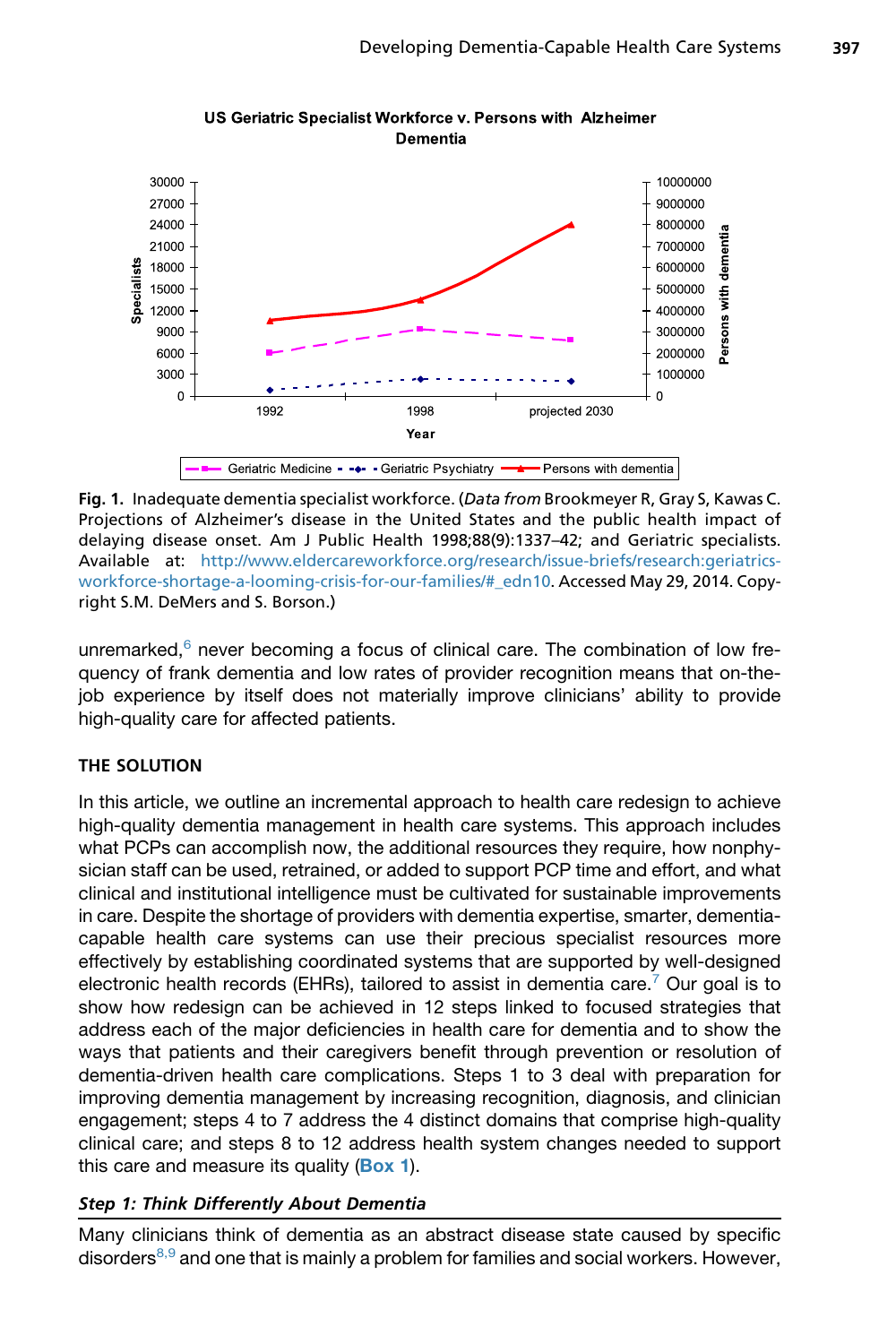<span id="page-2-0"></span>

US Geriatric Specialist Workforce v. Persons with Alzheimer **Dementia** 

Fig. 1. Inadequate dementia specialist workforce. (Data from Brookmeyer R, Gray S, Kawas C. Projections of Alzheimer's disease in the United States and the public health impact of delaying disease onset. Am J Public Health 1998;88(9):1337–42; and Geriatric specialists. Available at: [http://www.eldercareworkforce.org/research/issue-briefs/research:geriatrics](http://www.eldercareworkforce.org/research/issue-briefs/research:geriatrics-workforce-shortage-a-looming-crisis-for-our-families/#_edn10)[workforce-shortage-a-looming-crisis-for-our-families/#\\_edn10](http://www.eldercareworkforce.org/research/issue-briefs/research:geriatrics-workforce-shortage-a-looming-crisis-for-our-families/#_edn10). Accessed May 29, 2014. Copyright S.M. DeMers and S. Borson.)

unremarked, $6$  never becoming a focus of clinical care. The combination of low frequency of frank dementia and low rates of provider recognition means that on-thejob experience by itself does not materially improve clinicians' ability to provide high-quality care for affected patients.

# THE SOLUTION

In this article, we outline an incremental approach to health care redesign to achieve high-quality dementia management in health care systems. This approach includes what PCPs can accomplish now, the additional resources they require, how nonphysician staff can be used, retrained, or added to support PCP time and effort, and what clinical and institutional intelligence must be cultivated for sustainable improvements in care. Despite the shortage of providers with dementia expertise, smarter, dementiacapable health care systems can use their precious specialist resources more effectively by establishing coordinated systems that are supported by well-designed electronic health records (EHRs), tailored to assist in dementia care.<sup>[7](#page-20-0)</sup> Our goal is to show how redesign can be achieved in 12 steps linked to focused strategies that address each of the major deficiencies in health care for dementia and to show the ways that patients and their caregivers benefit through prevention or resolution of dementia-driven health care complications. Steps 1 to 3 deal with preparation for improving dementia management by increasing recognition, diagnosis, and clinician engagement; steps 4 to 7 address the 4 distinct domains that comprise high-quality clinical care; and steps 8 to 12 address health system changes needed to support this care and measure its quality  $(Box 1)$  $(Box 1)$  $(Box 1)$ .

# Step 1: Think Differently About Dementia

Many clinicians think of dementia as an abstract disease state caused by specific disorders $8,9$  and one that is mainly a problem for families and social workers. However,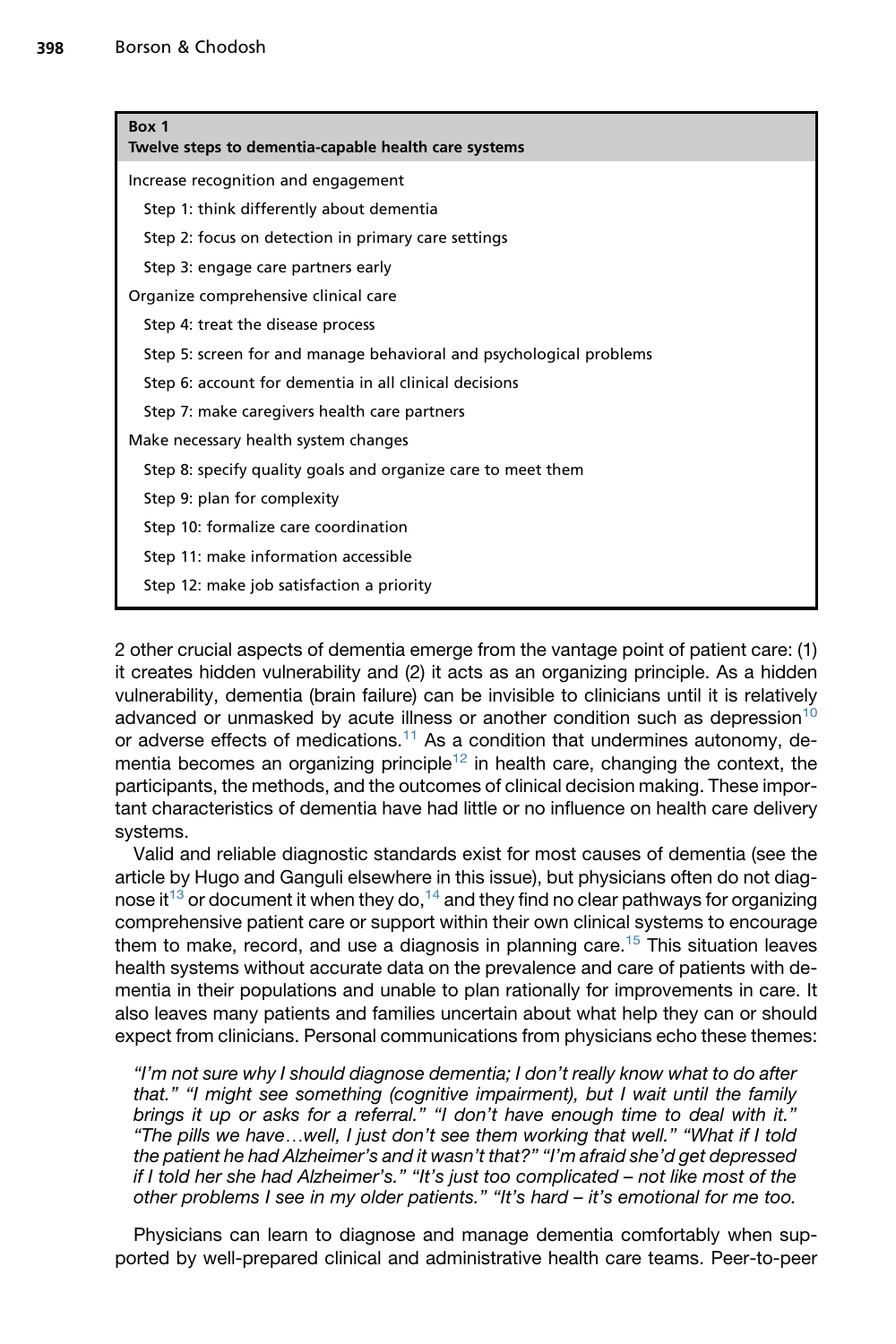<span id="page-3-0"></span>

| Box 1<br>Twelve steps to dementia-capable health care systems       |
|---------------------------------------------------------------------|
| Increase recognition and engagement                                 |
| Step 1: think differently about dementia                            |
| Step 2: focus on detection in primary care settings                 |
| Step 3: engage care partners early                                  |
| Organize comprehensive clinical care                                |
| Step 4: treat the disease process                                   |
| Step 5: screen for and manage behavioral and psychological problems |
| Step 6: account for dementia in all clinical decisions              |
| Step 7: make caregivers health care partners                        |
| Make necessary health system changes                                |
| Step 8: specify quality goals and organize care to meet them        |
| Step 9: plan for complexity                                         |
| Step 10: formalize care coordination                                |
| Step 11: make information accessible                                |
| Step 12: make job satisfaction a priority                           |

2 other crucial aspects of dementia emerge from the vantage point of patient care: (1) it creates hidden vulnerability and (2) it acts as an organizing principle. As a hidden vulnerability, dementia (brain failure) can be invisible to clinicians until it is relatively advanced or unmasked by acute illness or another condition such as depression<sup>[10](#page-20-0)</sup> or adverse effects of medications.<sup>[11](#page-20-0)</sup> As a condition that undermines autonomy, de-mentia becomes an organizing principle<sup>[12](#page-20-0)</sup> in health care, changing the context, the participants, the methods, and the outcomes of clinical decision making. These important characteristics of dementia have had little or no influence on health care delivery systems.

Valid and reliable diagnostic standards exist for most causes of dementia (see the article by Hugo and Ganguli elsewhere in this issue), but physicians often do not diag-nose it<sup>[13](#page-20-0)</sup> or document it when they do,  $14$  and they find no clear pathways for organizing comprehensive patient care or support within their own clinical systems to encourage them to make, record, and use a diagnosis in planning care.<sup>[15](#page-20-0)</sup> This situation leaves health systems without accurate data on the prevalence and care of patients with dementia in their populations and unable to plan rationally for improvements in care. It also leaves many patients and families uncertain about what help they can or should expect from clinicians. Personal communications from physicians echo these themes:

*"I'm not sure why I should diagnose dementia; I don't really know what to do after that." "I might see something (cognitive impairment), but I wait until the family brings it up or asks for a referral." "I don't have enough time to deal with it." "The pills we have*.*well, I just don't see them working that well." "What if I told the patient he had Alzheimer's and it wasn't that?" "I'm afraid she'd get depressed if I told her she had Alzheimer's." "It's just too complicated – not like most of the other problems I see in my older patients." "It's hard – it's emotional for me too.*

Physicians can learn to diagnose and manage dementia comfortably when supported by well-prepared clinical and administrative health care teams. Peer-to-peer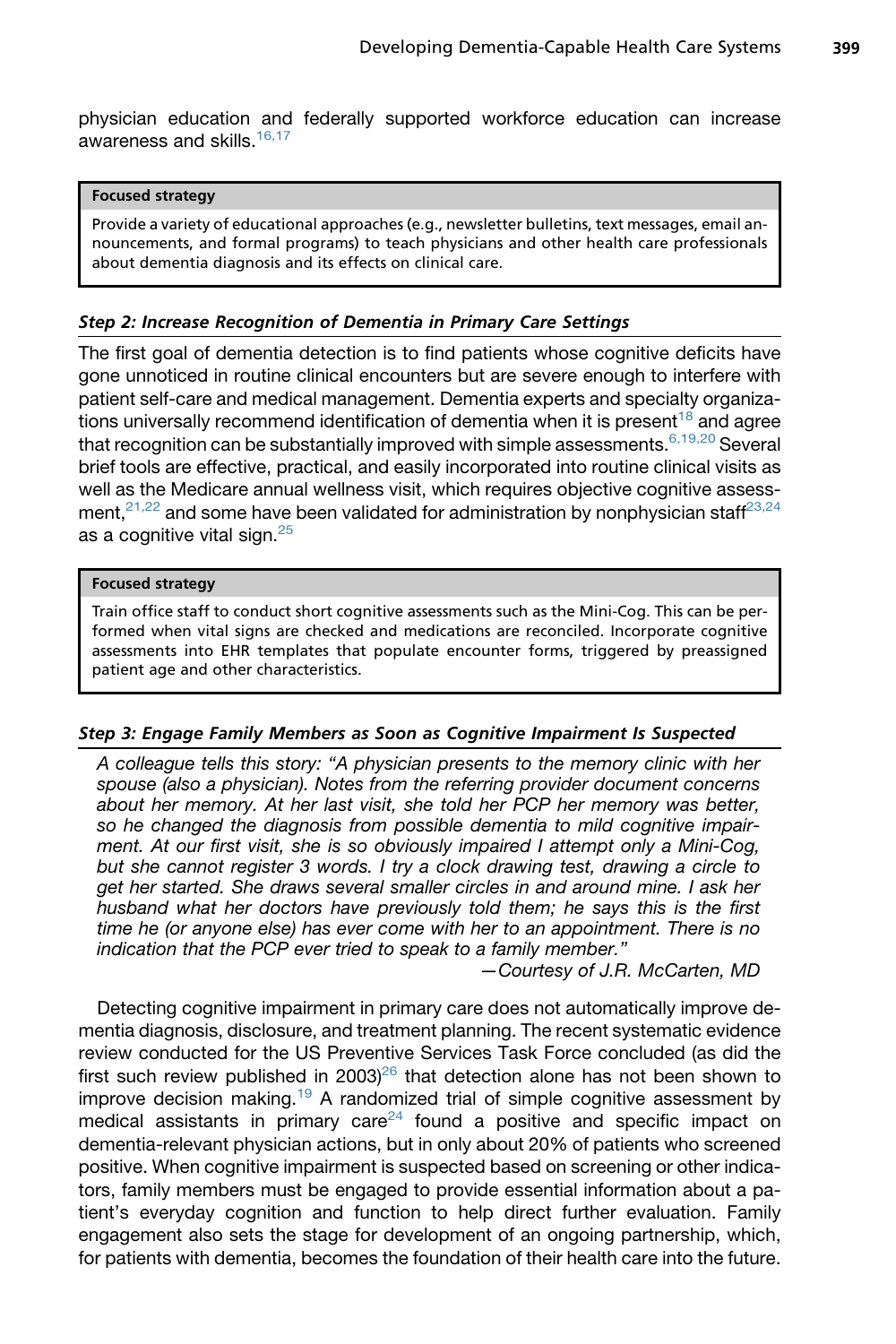physician education and federally supported workforce education can increase awareness and skills.<sup>[16,17](#page-20-0)</sup>

#### Focused strategy

Provide a variety of educational approaches (e.g., newsletter bulletins, text messages, email announcements, and formal programs) to teach physicians and other health care professionals about dementia diagnosis and its effects on clinical care.

# Step 2: Increase Recognition of Dementia in Primary Care Settings

The first goal of dementia detection is to find patients whose cognitive deficits have gone unnoticed in routine clinical encounters but are severe enough to interfere with patient self-care and medical management. Dementia experts and specialty organiza-tions universally recommend identification of dementia when it is present<sup>[18](#page-21-0)</sup> and agree that recognition can be substantially improved with simple assessments.<sup>[6,19,20](#page-20-0)</sup> Several brief tools are effective, practical, and easily incorporated into routine clinical visits as well as the Medicare annual wellness visit, which requires objective cognitive assessment, $2^{1,22}$  and some have been validated for administration by nonphysician staff<sup>[23,24](#page-21-0)</sup> as a cognitive vital sign.<sup>[25](#page-21-0)</sup>

#### Focused strategy

Train office staff to conduct short cognitive assessments such as the Mini-Cog. This can be performed when vital signs are checked and medications are reconciled. Incorporate cognitive assessments into EHR templates that populate encounter forms, triggered by preassigned patient age and other characteristics.

### Step 3: Engage Family Members as Soon as Cognitive Impairment Is Suspected

*A colleague tells this story: "A physician presents to the memory clinic with her spouse (also a physician). Notes from the referring provider document concerns about her memory. At her last visit, she told her PCP her memory was better, so he changed the diagnosis from possible dementia to mild cognitive impairment. At our first visit, she is so obviously impaired I attempt only a Mini-Cog, but she cannot register 3 words. I try a clock drawing test, drawing a circle to get her started. She draws several smaller circles in and around mine. I ask her husband what her doctors have previously told them; he says this is the first time he (or anyone else) has ever come with her to an appointment. There is no indication that the PCP ever tried to speak to a family member."*

*—Courtesy of J.R. McCarten, MD*

Detecting cognitive impairment in primary care does not automatically improve dementia diagnosis, disclosure, and treatment planning. The recent systematic evidence review conducted for the US Preventive Services Task Force concluded (as did the first such review published in 2003) $^{26}$  $^{26}$  $^{26}$  that detection alone has not been shown to improve decision making.<sup>[19](#page-21-0)</sup> A randomized trial of simple cognitive assessment by medical assistants in primary care<sup>[24](#page-21-0)</sup> found a positive and specific impact on dementia-relevant physician actions, but in only about 20% of patients who screened positive. When cognitive impairment is suspected based on screening or other indicators, family members must be engaged to provide essential information about a patient's everyday cognition and function to help direct further evaluation. Family engagement also sets the stage for development of an ongoing partnership, which, for patients with dementia, becomes the foundation of their health care into the future.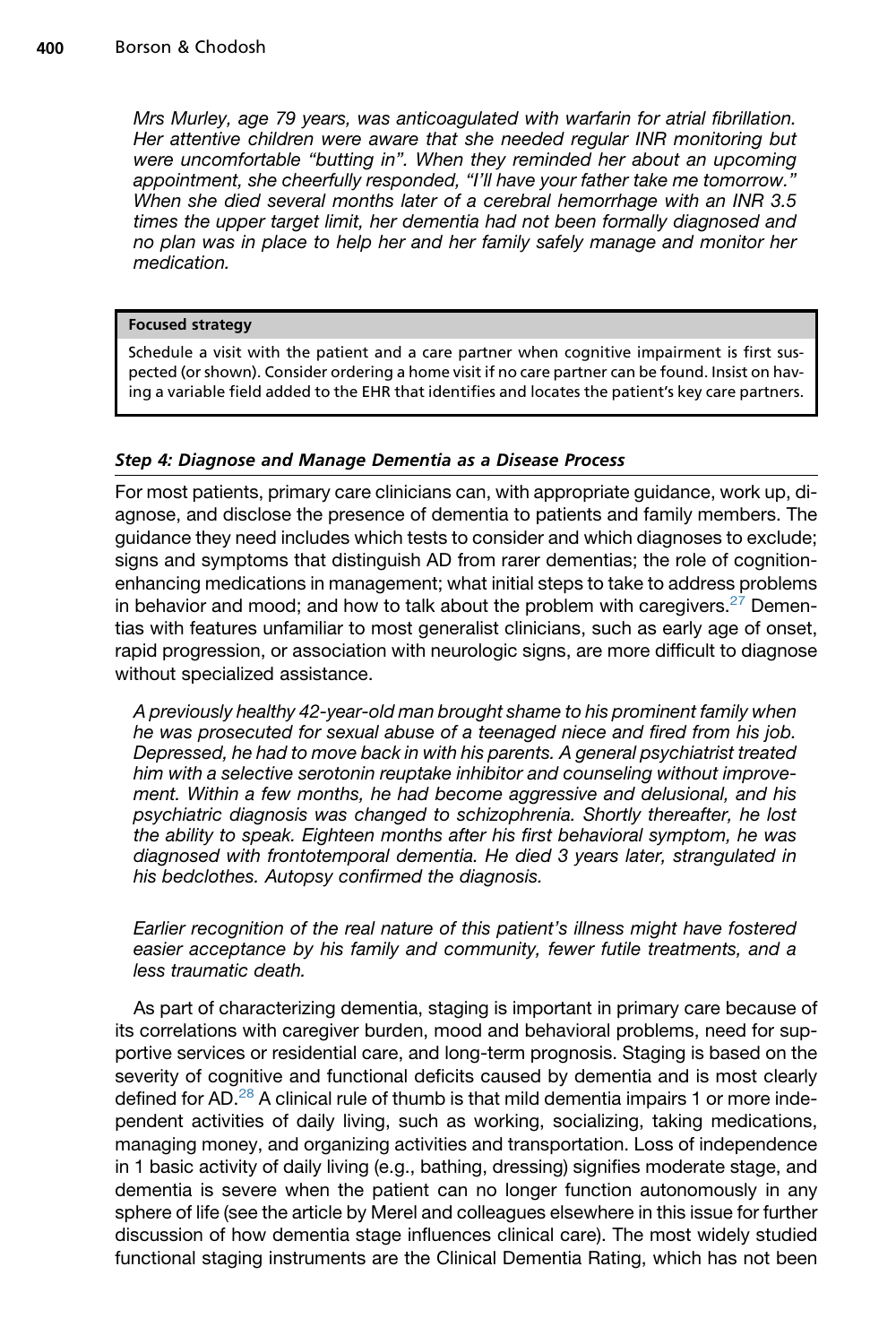*Mrs Murley, age 79 years, was anticoagulated with warfarin for atrial fibrillation. Her attentive children were aware that she needed regular INR monitoring but were uncomfortable "butting in". When they reminded her about an upcoming appointment, she cheerfully responded, "I'll have your father take me tomorrow." When she died several months later of a cerebral hemorrhage with an INR 3.5 times the upper target limit, her dementia had not been formally diagnosed and no plan was in place to help her and her family safely manage and monitor her medication.*

#### Focused strategy

Schedule a visit with the patient and a care partner when cognitive impairment is first suspected (or shown). Consider ordering a home visit if no care partner can be found. Insist on having a variable field added to the EHR that identifies and locates the patient's key care partners.

## Step 4: Diagnose and Manage Dementia as a Disease Process

For most patients, primary care clinicians can, with appropriate guidance, work up, diagnose, and disclose the presence of dementia to patients and family members. The guidance they need includes which tests to consider and which diagnoses to exclude; signs and symptoms that distinguish AD from rarer dementias; the role of cognitionenhancing medications in management; what initial steps to take to address problems in behavior and mood; and how to talk about the problem with caregivers. $27$  Dementias with features unfamiliar to most generalist clinicians, such as early age of onset, rapid progression, or association with neurologic signs, are more difficult to diagnose without specialized assistance.

*A previously healthy 42-year-old man brought shame to his prominent family when he was prosecuted for sexual abuse of a teenaged niece and fired from his job. Depressed, he had to move back in with his parents. A general psychiatrist treated him with a selective serotonin reuptake inhibitor and counseling without improvement. Within a few months, he had become aggressive and delusional, and his psychiatric diagnosis was changed to schizophrenia. Shortly thereafter, he lost the ability to speak. Eighteen months after his first behavioral symptom, he was diagnosed with frontotemporal dementia. He died 3 years later, strangulated in his bedclothes. Autopsy confirmed the diagnosis.*

*Earlier recognition of the real nature of this patient's illness might have fostered easier acceptance by his family and community, fewer futile treatments, and a less traumatic death.*

As part of characterizing dementia, staging is important in primary care because of its correlations with caregiver burden, mood and behavioral problems, need for supportive services or residential care, and long-term prognosis. Staging is based on the severity of cognitive and functional deficits caused by dementia and is most clearly defined for AD. $^{28}$  $^{28}$  $^{28}$  A clinical rule of thumb is that mild dementia impairs 1 or more independent activities of daily living, such as working, socializing, taking medications, managing money, and organizing activities and transportation. Loss of independence in 1 basic activity of daily living (e.g., bathing, dressing) signifies moderate stage, and dementia is severe when the patient can no longer function autonomously in any sphere of life (see the article by Merel and colleagues elsewhere in this issue for further discussion of how dementia stage influences clinical care). The most widely studied functional staging instruments are the Clinical Dementia Rating, which has not been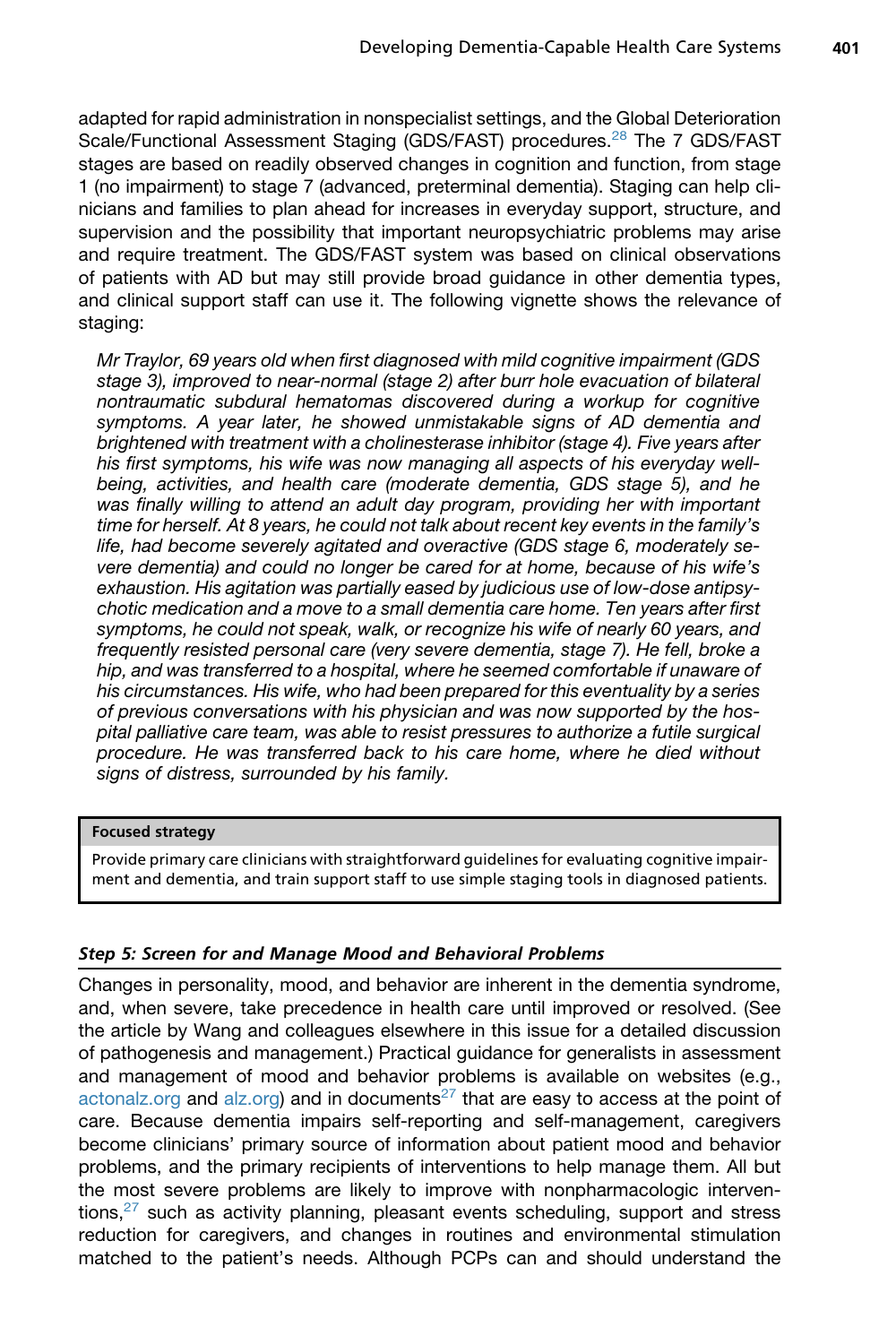adapted for rapid administration in nonspecialist settings, and the Global Deterioration Scale/Functional Assessment Staging (GDS/FAST) procedures.<sup>[28](#page-21-0)</sup> The 7 GDS/FAST stages are based on readily observed changes in cognition and function, from stage 1 (no impairment) to stage 7 (advanced, preterminal dementia). Staging can help clinicians and families to plan ahead for increases in everyday support, structure, and supervision and the possibility that important neuropsychiatric problems may arise and require treatment. The GDS/FAST system was based on clinical observations of patients with AD but may still provide broad guidance in other dementia types, and clinical support staff can use it. The following vignette shows the relevance of staging:

*Mr Traylor, 69 years old when first diagnosed with mild cognitive impairment (GDS stage 3), improved to near-normal (stage 2) after burr hole evacuation of bilateral nontraumatic subdural hematomas discovered during a workup for cognitive symptoms. A year later, he showed unmistakable signs of AD dementia and brightened with treatment with a cholinesterase inhibitor (stage 4). Five years after his first symptoms, his wife was now managing all aspects of his everyday wellbeing, activities, and health care (moderate dementia, GDS stage 5), and he was finally willing to attend an adult day program, providing her with important time for herself. At 8 years, he could not talk about recent key events in the family's life, had become severely agitated and overactive (GDS stage 6, moderately severe dementia) and could no longer be cared for at home, because of his wife's exhaustion. His agitation was partially eased by judicious use of low-dose antipsychotic medication and a move to a small dementia care home. Ten years after first symptoms, he could not speak, walk, or recognize his wife of nearly 60 years, and frequently resisted personal care (very severe dementia, stage 7). He fell, broke a hip, and was transferred to a hospital, where he seemed comfortable if unaware of his circumstances. His wife, who had been prepared for this eventuality by a series of previous conversations with his physician and was now supported by the hospital palliative care team, was able to resist pressures to authorize a futile surgical procedure. He was transferred back to his care home, where he died without signs of distress, surrounded by his family.*

## Focused strategy

Provide primary care clinicians with straightforward guidelines for evaluating cognitive impairment and dementia, and train support staff to use simple staging tools in diagnosed patients.

## Step 5: Screen for and Manage Mood and Behavioral Problems

Changes in personality, mood, and behavior are inherent in the dementia syndrome, and, when severe, take precedence in health care until improved or resolved. (See the article by Wang and colleagues elsewhere in this issue for a detailed discussion of pathogenesis and management.) Practical guidance for generalists in assessment and management of mood and behavior problems is available on websites (e.g., [actonalz.org](http://actonalz.org) and [alz.org\)](http://alz.org) and in documents<sup>[27](#page-21-0)</sup> that are easy to access at the point of care. Because dementia impairs self-reporting and self-management, caregivers become clinicians' primary source of information about patient mood and behavior problems, and the primary recipients of interventions to help manage them. All but the most severe problems are likely to improve with nonpharmacologic interventions, $27$  such as activity planning, pleasant events scheduling, support and stress reduction for caregivers, and changes in routines and environmental stimulation matched to the patient's needs. Although PCPs can and should understand the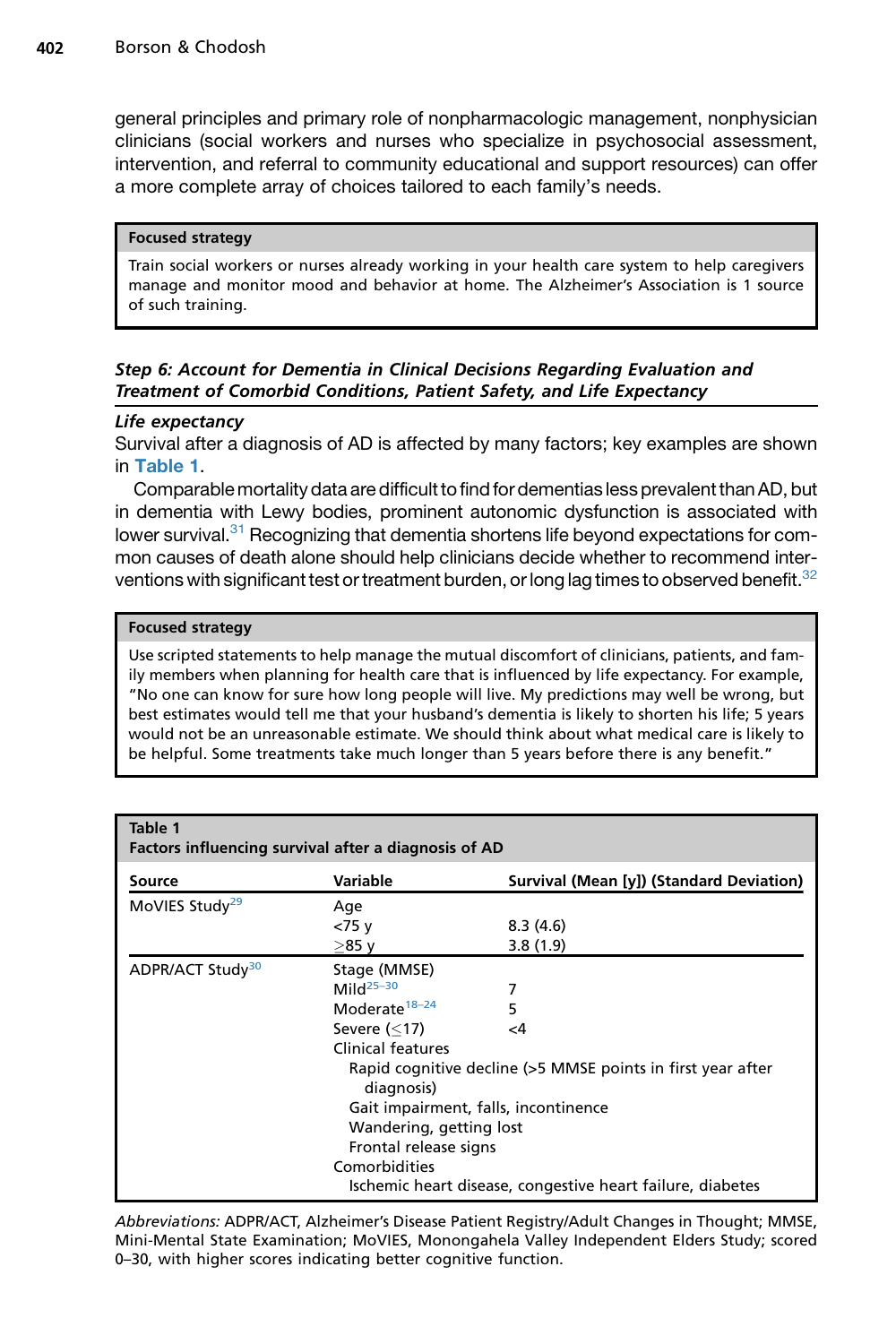general principles and primary role of nonpharmacologic management, nonphysician clinicians (social workers and nurses who specialize in psychosocial assessment, intervention, and referral to community educational and support resources) can offer a more complete array of choices tailored to each family's needs.

### Focused strategy

Train social workers or nurses already working in your health care system to help caregivers manage and monitor mood and behavior at home. The Alzheimer's Association is 1 source of such training.

# Step 6: Account for Dementia in Clinical Decisions Regarding Evaluation and Treatment of Comorbid Conditions, Patient Safety, and Life Expectancy

# Life expectancy

Survival after a diagnosis of AD is affected by many factors; key examples are shown in Table 1.

Comparablemortality data are difficult tofindfor dementias less prevalent than AD, but in dementia with Lewy bodies, prominent autonomic dysfunction is associated with lower survival.<sup>31</sup> Recognizing that dementia shortens life beyond expectations for common causes of death alone should help clinicians decide whether to recommend inter-ventions with significant test or treatment burden, or long lag times to observed benefit.<sup>[32](#page-21-0)</sup>

### Focused strategy

Use scripted statements to help manage the mutual discomfort of clinicians, patients, and family members when planning for health care that is influenced by life expectancy. For example, "No one can know for sure how long people will live. My predictions may well be wrong, but best estimates would tell me that your husband's dementia is likely to shorten his life; 5 years would not be an unreasonable estimate. We should think about what medical care is likely to be helpful. Some treatments take much longer than 5 years before there is any benefit."

| Table 1                                              |                                                                           |                                          |  |
|------------------------------------------------------|---------------------------------------------------------------------------|------------------------------------------|--|
| Factors influencing survival after a diagnosis of AD |                                                                           |                                          |  |
| Source                                               | Variable                                                                  | Survival (Mean [y]) (Standard Deviation) |  |
| MoVIES Study <sup>29</sup>                           | Age                                                                       |                                          |  |
|                                                      | $<$ 75 y                                                                  | 8.3(4.6)                                 |  |
|                                                      | $>85$ y                                                                   | 3.8(1.9)                                 |  |
| ADPR/ACT Study <sup>30</sup>                         | Stage (MMSE)                                                              |                                          |  |
|                                                      | Mild $^{25-30}$                                                           | 7                                        |  |
|                                                      | Moderate $18-24$                                                          | 5                                        |  |
|                                                      | Severe $(<17)$                                                            | <4                                       |  |
|                                                      | Clinical features                                                         |                                          |  |
|                                                      | Rapid cognitive decline (>5 MMSE points in first year after<br>diagnosis) |                                          |  |
|                                                      | Gait impairment, falls, incontinence                                      |                                          |  |
|                                                      | Wandering, getting lost                                                   |                                          |  |
|                                                      | Frontal release signs                                                     |                                          |  |
|                                                      | Comorbidities                                                             |                                          |  |
|                                                      | Ischemic heart disease, congestive heart failure, diabetes                |                                          |  |

Abbreviations: ADPR/ACT, Alzheimer's Disease Patient Registry/Adult Changes in Thought; MMSE, Mini-Mental State Examination; MoVIES, Monongahela Valley Independent Elders Study; scored 0–30, with higher scores indicating better cognitive function.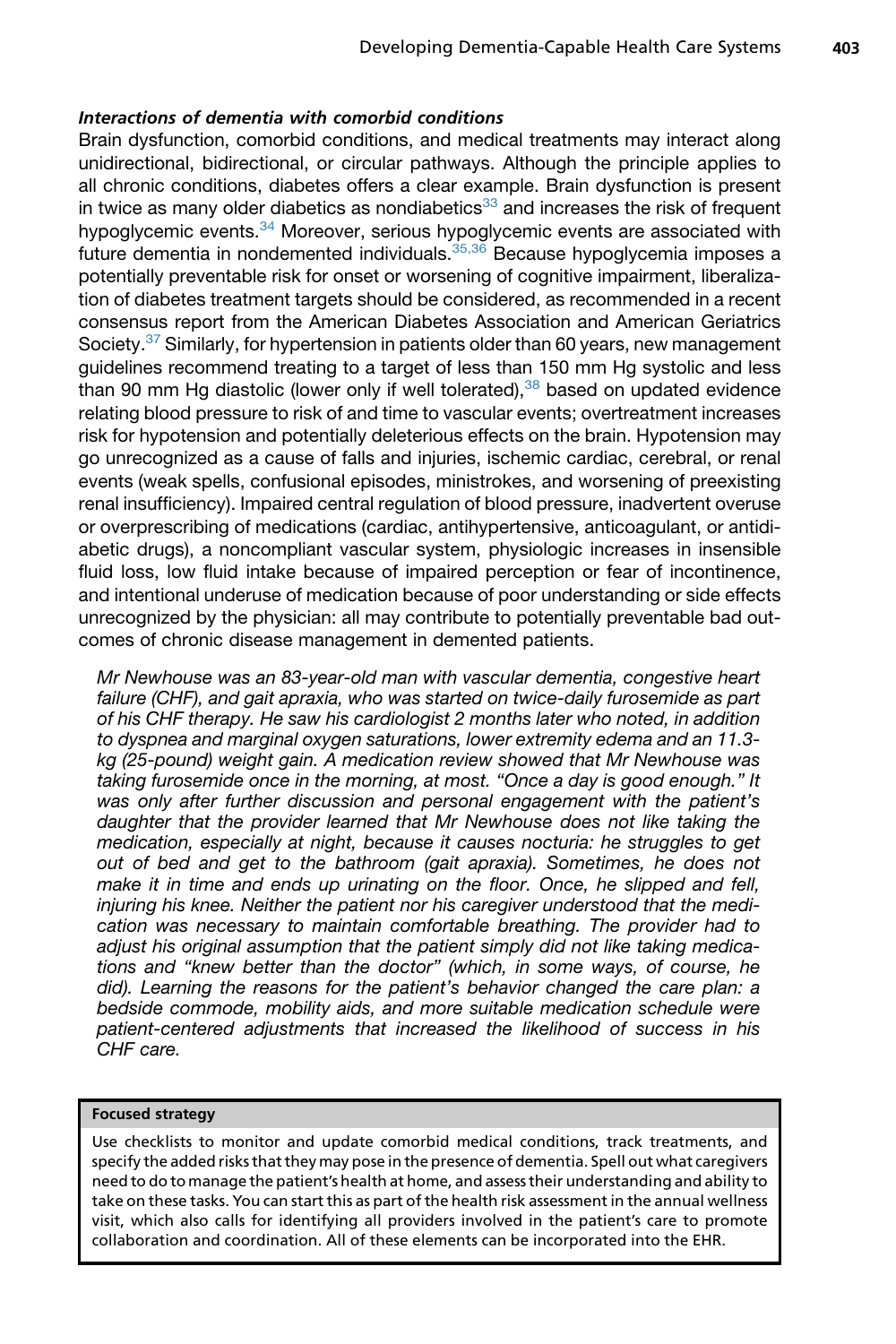# Interactions of dementia with comorbid conditions

Brain dysfunction, comorbid conditions, and medical treatments may interact along unidirectional, bidirectional, or circular pathways. Although the principle applies to all chronic conditions, diabetes offers a clear example. Brain dysfunction is present in twice as many older diabetics as nondiabetics $33$  and increases the risk of frequent hypoglycemic events.<sup>[34](#page-21-0)</sup> Moreover, serious hypoglycemic events are associated with future dementia in nondemented individuals.  $35,36$  Because hypoglycemia imposes a potentially preventable risk for onset or worsening of cognitive impairment, liberalization of diabetes treatment targets should be considered, as recommended in a recent consensus report from the American Diabetes Association and American Geriatrics Society.<sup>[37](#page-22-0)</sup> Similarly, for hypertension in patients older than 60 years, new management guidelines recommend treating to a target of less than 150 mm Hg systolic and less than 90 mm Hg diastolic (lower only if well tolerated),  $38$  based on updated evidence relating blood pressure to risk of and time to vascular events; overtreatment increases risk for hypotension and potentially deleterious effects on the brain. Hypotension may go unrecognized as a cause of falls and injuries, ischemic cardiac, cerebral, or renal events (weak spells, confusional episodes, ministrokes, and worsening of preexisting renal insufficiency). Impaired central regulation of blood pressure, inadvertent overuse or overprescribing of medications (cardiac, antihypertensive, anticoagulant, or antidiabetic drugs), a noncompliant vascular system, physiologic increases in insensible fluid loss, low fluid intake because of impaired perception or fear of incontinence, and intentional underuse of medication because of poor understanding or side effects unrecognized by the physician: all may contribute to potentially preventable bad outcomes of chronic disease management in demented patients.

*Mr Newhouse was an 83-year-old man with vascular dementia, congestive heart failure (CHF), and gait apraxia, who was started on twice-daily furosemide as part of his CHF therapy. He saw his cardiologist 2 months later who noted, in addition to dyspnea and marginal oxygen saturations, lower extremity edema and an 11.3 kg (25-pound) weight gain. A medication review showed that Mr Newhouse was taking furosemide once in the morning, at most. "Once a day is good enough." It was only after further discussion and personal engagement with the patient's daughter that the provider learned that Mr Newhouse does not like taking the medication, especially at night, because it causes nocturia: he struggles to get out of bed and get to the bathroom (gait apraxia). Sometimes, he does not make it in time and ends up urinating on the floor. Once, he slipped and fell, injuring his knee. Neither the patient nor his caregiver understood that the medication was necessary to maintain comfortable breathing. The provider had to adjust his original assumption that the patient simply did not like taking medications and "knew better than the doctor" (which, in some ways, of course, he did). Learning the reasons for the patient's behavior changed the care plan: a bedside commode, mobility aids, and more suitable medication schedule were patient-centered adjustments that increased the likelihood of success in his CHF care.*

## Focused strategy

Use checklists to monitor and update comorbid medical conditions, track treatments, and specify the added risks that they may pose in the presence of dementia. Spell out what caregivers need to do to manage the patient's health at home, and assess their understanding and ability to take on these tasks. You can start this as part of the health risk assessment in the annual wellness visit, which also calls for identifying all providers involved in the patient's care to promote collaboration and coordination. All of these elements can be incorporated into the EHR.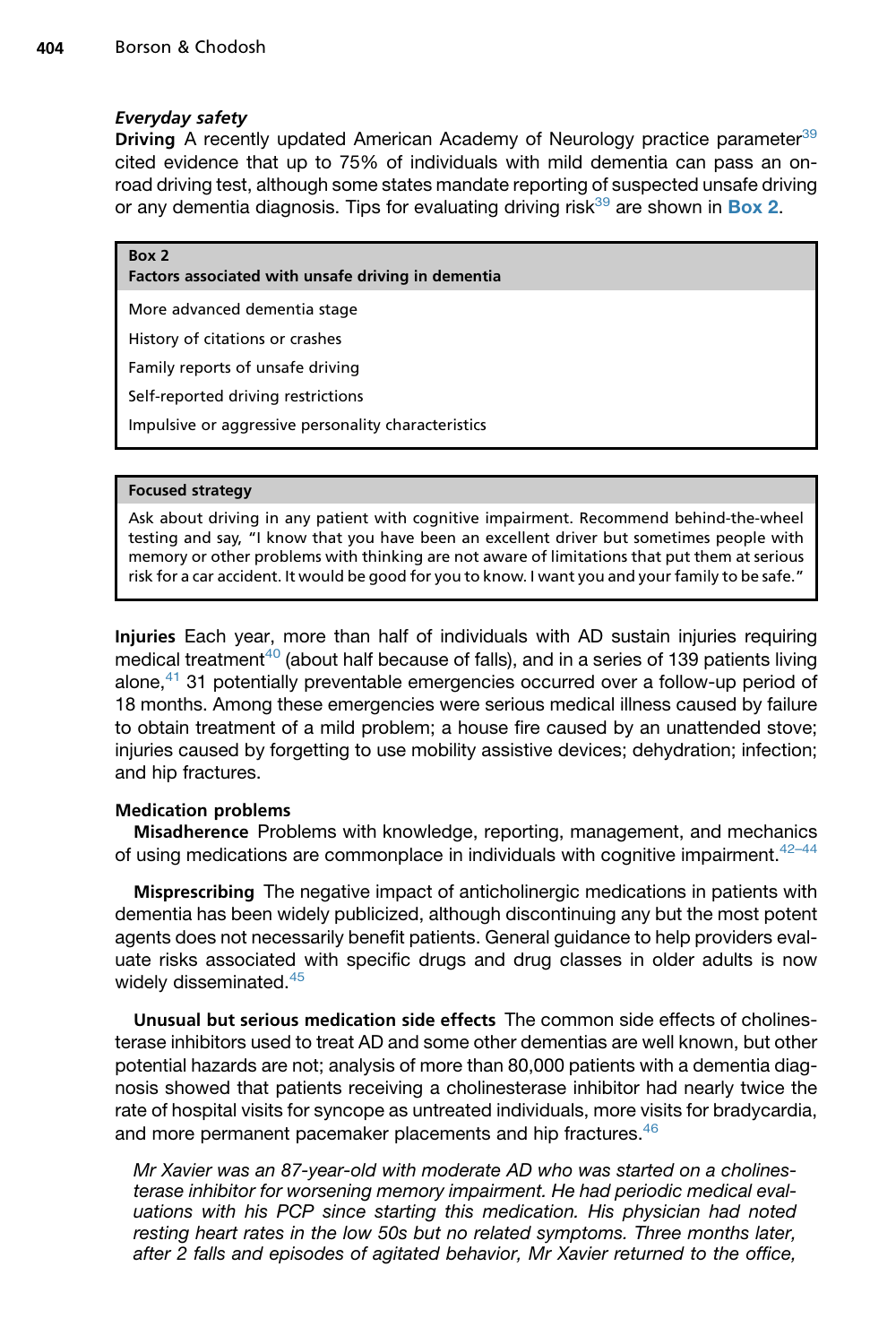## Everyday safety

Driving A recently updated American Academy of Neurology practice parameter<sup>[39](#page-22-0)</sup> cited evidence that up to 75% of individuals with mild dementia can pass an onroad driving test, although some states mandate reporting of suspected unsafe driving or any dementia diagnosis. Tips for evaluating driving risk $39$  are shown in Box 2.

| Box 2<br>Factors associated with unsafe driving in dementia |
|-------------------------------------------------------------|
| More advanced dementia stage                                |
| History of citations or crashes                             |
| Family reports of unsafe driving                            |
| Self-reported driving restrictions                          |
| Impulsive or aggressive personality characteristics         |

#### Focused strategy

Ask about driving in any patient with cognitive impairment. Recommend behind-the-wheel testing and say, "I know that you have been an excellent driver but sometimes people with memory or other problems with thinking are not aware of limitations that put them at serious risk for a car accident. It would be good for you to know. I want you and your family to be safe."

Injuries Each year, more than half of individuals with AD sustain injuries requiring medical treatment<sup>[40](#page-22-0)</sup> (about half because of falls), and in a series of 139 patients living alone,<sup>[41](#page-22-0)</sup> 31 potentially preventable emergencies occurred over a follow-up period of 18 months. Among these emergencies were serious medical illness caused by failure to obtain treatment of a mild problem; a house fire caused by an unattended stove; injuries caused by forgetting to use mobility assistive devices; dehydration; infection; and hip fractures.

## Medication problems

Misadherence Problems with knowledge, reporting, management, and mechanics of using medications are commonplace in individuals with cognitive impairment. $42-44$ 

Misprescribing The negative impact of anticholinergic medications in patients with dementia has been widely publicized, although discontinuing any but the most potent agents does not necessarily benefit patients. General guidance to help providers evaluate risks associated with specific drugs and drug classes in older adults is now widely disseminated.<sup>[45](#page-22-0)</sup>

Unusual but serious medication side effects The common side effects of cholinesterase inhibitors used to treat AD and some other dementias are well known, but other potential hazards are not; analysis of more than 80,000 patients with a dementia diagnosis showed that patients receiving a cholinesterase inhibitor had nearly twice the rate of hospital visits for syncope as untreated individuals, more visits for bradycardia, and more permanent pacemaker placements and hip fractures.<sup>[46](#page-22-0)</sup>

*Mr Xavier was an 87-year-old with moderate AD who was started on a cholinesterase inhibitor for worsening memory impairment. He had periodic medical evaluations with his PCP since starting this medication. His physician had noted resting heart rates in the low 50s but no related symptoms. Three months later, after 2 falls and episodes of agitated behavior, Mr Xavier returned to the office,*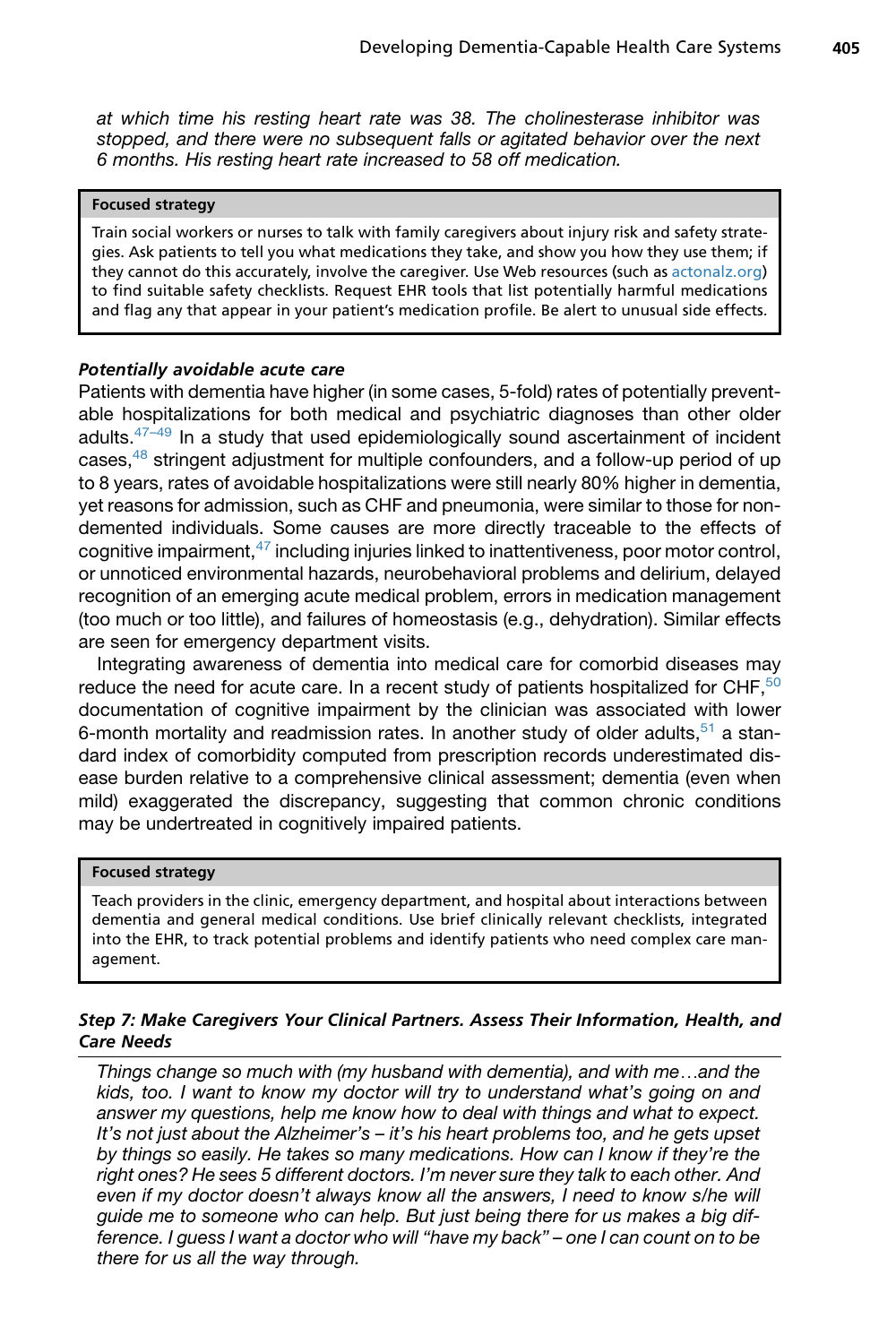*at which time his resting heart rate was 38. The cholinesterase inhibitor was stopped, and there were no subsequent falls or agitated behavior over the next 6 months. His resting heart rate increased to 58 off medication.*

#### Focused strategy

Train social workers or nurses to talk with family caregivers about injury risk and safety strategies. Ask patients to tell you what medications they take, and show you how they use them; if they cannot do this accurately, involve the caregiver. Use Web resources (such as [actonalz.org\)](http://actonalz.org) to find suitable safety checklists. Request EHR tools that list potentially harmful medications and flag any that appear in your patient's medication profile. Be alert to unusual side effects.

### Potentially avoidable acute care

Patients with dementia have higher (in some cases, 5-fold) rates of potentially preventable hospitalizations for both medical and psychiatric diagnoses than other older adults. $47-49$  In a study that used epidemiologically sound ascertainment of incident cases,<sup>[48](#page-22-0)</sup> stringent adjustment for multiple confounders, and a follow-up period of up to 8 years, rates of avoidable hospitalizations were still nearly 80% higher in dementia, yet reasons for admission, such as CHF and pneumonia, were similar to those for nondemented individuals. Some causes are more directly traceable to the effects of cognitive impairment, $47$  including injuries linked to inattentiveness, poor motor control, or unnoticed environmental hazards, neurobehavioral problems and delirium, delayed recognition of an emerging acute medical problem, errors in medication management (too much or too little), and failures of homeostasis (e.g., dehydration). Similar effects are seen for emergency department visits.

Integrating awareness of dementia into medical care for comorbid diseases may reduce the need for acute care. In a recent study of patients hospitalized for CHF, $50$ documentation of cognitive impairment by the clinician was associated with lower 6-month mortality and readmission rates. In another study of older adults,  $51$  a standard index of comorbidity computed from prescription records underestimated disease burden relative to a comprehensive clinical assessment; dementia (even when mild) exaggerated the discrepancy, suggesting that common chronic conditions may be undertreated in cognitively impaired patients.

#### Focused strategy

Teach providers in the clinic, emergency department, and hospital about interactions between dementia and general medical conditions. Use brief clinically relevant checklists, integrated into the EHR, to track potential problems and identify patients who need complex care management.

# Step 7: Make Caregivers Your Clinical Partners. Assess Their Information, Health, and Care Needs

*Things change so much with (my husband with dementia), and with me*.*and the kids, too. I want to know my doctor will try to understand what's going on and answer my questions, help me know how to deal with things and what to expect. It's not just about the Alzheimer's – it's his heart problems too, and he gets upset by things so easily. He takes so many medications. How can I know if they're the right ones? He sees 5 different doctors. I'm never sure they talk to each other. And even if my doctor doesn't always know all the answers, I need to know s/he will guide me to someone who can help. But just being there for us makes a big difference. I guess I want a doctor who will "have my back" – one I can count on to be there for us all the way through.*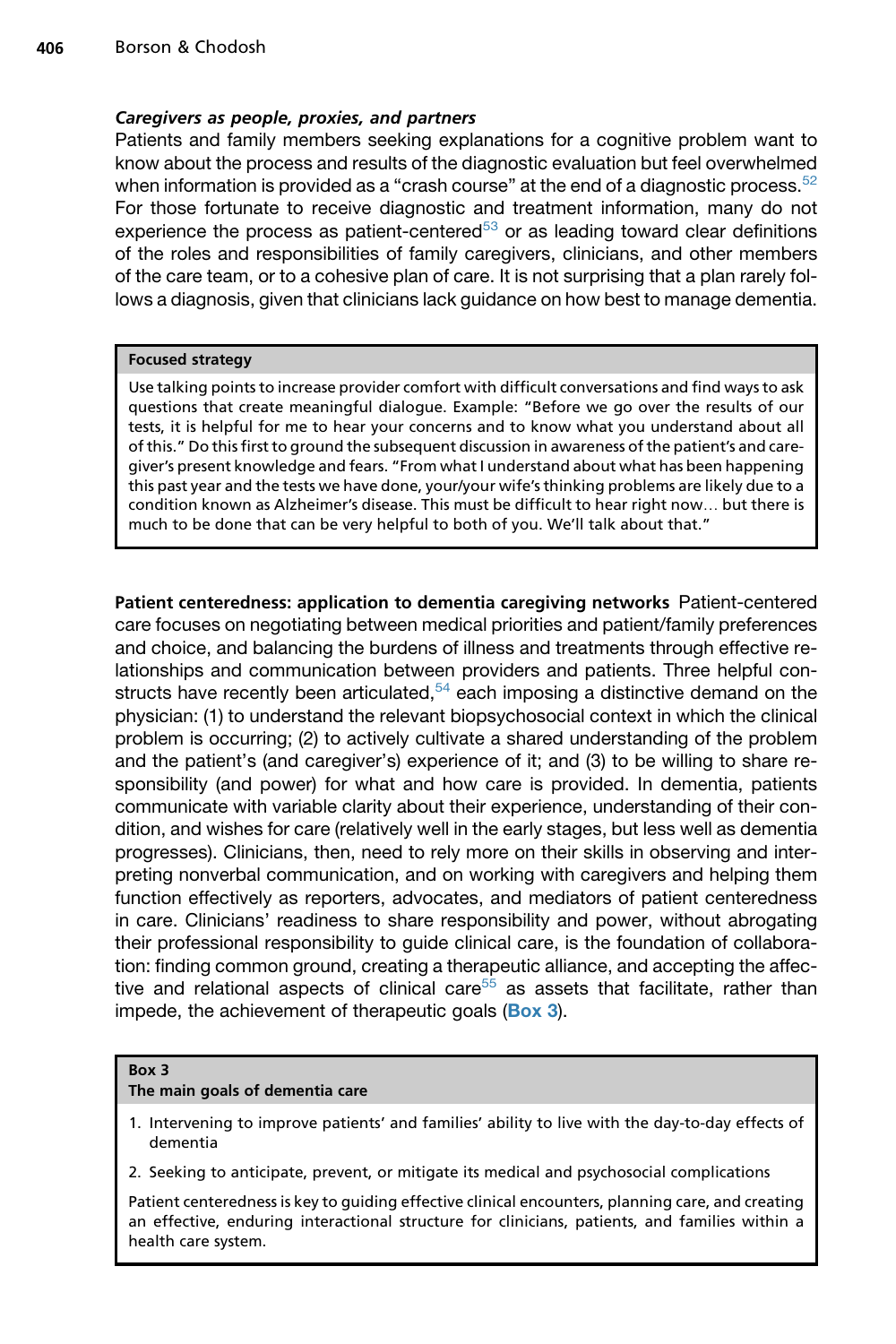## Caregivers as people, proxies, and partners

Patients and family members seeking explanations for a cognitive problem want to know about the process and results of the diagnostic evaluation but feel overwhelmed when information is provided as a "crash course" at the end of a diagnostic process. $52$ For those fortunate to receive diagnostic and treatment information, many do not experience the process as patient-centered $53$  or as leading toward clear definitions of the roles and responsibilities of family caregivers, clinicians, and other members of the care team, or to a cohesive plan of care. It is not surprising that a plan rarely follows a diagnosis, given that clinicians lack guidance on how best to manage dementia.

### Focused strategy

Use talking points to increase provider comfort with difficult conversations and find ways to ask questions that create meaningful dialogue. Example: "Before we go over the results of our tests, it is helpful for me to hear your concerns and to know what you understand about all of this." Do this first to ground the subsequent discussion in awareness of the patient's and caregiver's present knowledge and fears. "From what I understand about what has been happening this past year and the tests we have done, your/your wife's thinking problems are likely due to a condition known as Alzheimer's disease. This must be difficult to hear right now... but there is much to be done that can be very helpful to both of you. We'll talk about that."

Patient centeredness: application to dementia caregiving networks Patient-centered care focuses on negotiating between medical priorities and patient/family preferences and choice, and balancing the burdens of illness and treatments through effective relationships and communication between providers and patients. Three helpful con-structs have recently been articulated,<sup>[54](#page-23-0)</sup> each imposing a distinctive demand on the physician: (1) to understand the relevant biopsychosocial context in which the clinical problem is occurring; (2) to actively cultivate a shared understanding of the problem and the patient's (and caregiver's) experience of it; and (3) to be willing to share responsibility (and power) for what and how care is provided. In dementia, patients communicate with variable clarity about their experience, understanding of their condition, and wishes for care (relatively well in the early stages, but less well as dementia progresses). Clinicians, then, need to rely more on their skills in observing and interpreting nonverbal communication, and on working with caregivers and helping them function effectively as reporters, advocates, and mediators of patient centeredness in care. Clinicians' readiness to share responsibility and power, without abrogating their professional responsibility to guide clinical care, is the foundation of collaboration: finding common ground, creating a therapeutic alliance, and accepting the affective and relational aspects of clinical care $55$  as assets that facilitate, rather than impede, the achievement of therapeutic goals (Box 3).

### Box 3

### The main goals of dementia care

- 1. Intervening to improve patients' and families' ability to live with the day-to-day effects of dementia
- 2. Seeking to anticipate, prevent, or mitigate its medical and psychosocial complications

Patient centeredness is key to guiding effective clinical encounters, planning care, and creating an effective, enduring interactional structure for clinicians, patients, and families within a health care system.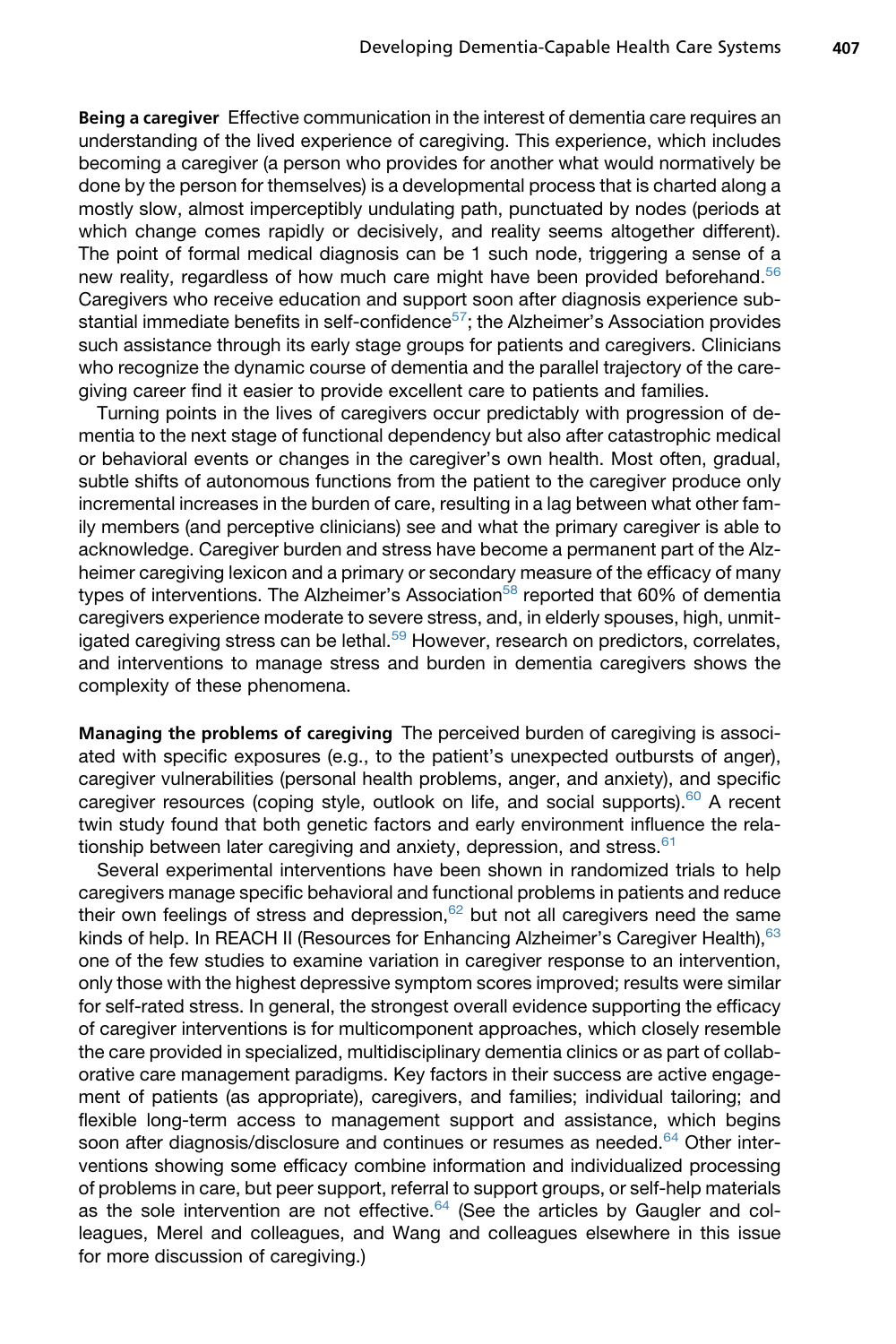Being a caregiver Effective communication in the interest of dementia care requires an understanding of the lived experience of caregiving. This experience, which includes becoming a caregiver (a person who provides for another what would normatively be done by the person for themselves) is a developmental process that is charted along a mostly slow, almost imperceptibly undulating path, punctuated by nodes (periods at which change comes rapidly or decisively, and reality seems altogether different). The point of formal medical diagnosis can be 1 such node, triggering a sense of a new reality, regardless of how much care might have been provided beforehand.<sup>[56](#page-23-0)</sup> Caregivers who receive education and support soon after diagnosis experience substantial immediate benefits in self-confidence $57$ ; the Alzheimer's Association provides such assistance through its early stage groups for patients and caregivers. Clinicians who recognize the dynamic course of dementia and the parallel trajectory of the caregiving career find it easier to provide excellent care to patients and families.

Turning points in the lives of caregivers occur predictably with progression of dementia to the next stage of functional dependency but also after catastrophic medical or behavioral events or changes in the caregiver's own health. Most often, gradual, subtle shifts of autonomous functions from the patient to the caregiver produce only incremental increases in the burden of care, resulting in a lag between what other family members (and perceptive clinicians) see and what the primary caregiver is able to acknowledge. Caregiver burden and stress have become a permanent part of the Alzheimer caregiving lexicon and a primary or secondary measure of the efficacy of many types of interventions. The Alzheimer's Association<sup>[58](#page-23-0)</sup> reported that 60% of dementia caregivers experience moderate to severe stress, and, in elderly spouses, high, unmit-igated caregiving stress can be lethal.<sup>[59](#page-23-0)</sup> However, research on predictors, correlates, and interventions to manage stress and burden in dementia caregivers shows the complexity of these phenomena.

Managing the problems of caregiving The perceived burden of caregiving is associated with specific exposures (e.g., to the patient's unexpected outbursts of anger), caregiver vulnerabilities (personal health problems, anger, and anxiety), and specific caregiver resources (coping style, outlook on life, and social supports). $60$  A recent twin study found that both genetic factors and early environment influence the rela-tionship between later caregiving and anxiety, depression, and stress.<sup>[61](#page-23-0)</sup>

Several experimental interventions have been shown in randomized trials to help caregivers manage specific behavioral and functional problems in patients and reduce their own feelings of stress and depression, $62$  but not all caregivers need the same kinds of help. In REACH II (Resources for Enhancing Alzheimer's Caregiver Health), 63 one of the few studies to examine variation in caregiver response to an intervention, only those with the highest depressive symptom scores improved; results were similar for self-rated stress. In general, the strongest overall evidence supporting the efficacy of caregiver interventions is for multicomponent approaches, which closely resemble the care provided in specialized, multidisciplinary dementia clinics or as part of collaborative care management paradigms. Key factors in their success are active engagement of patients (as appropriate), caregivers, and families; individual tailoring; and flexible long-term access to management support and assistance, which begins soon after diagnosis/disclosure and continues or resumes as needed.<sup>[64](#page-23-0)</sup> Other interventions showing some efficacy combine information and individualized processing of problems in care, but peer support, referral to support groups, or self-help materials as the sole intervention are not effective. $64$  (See the articles by Gaugler and colleagues, Merel and colleagues, and Wang and colleagues elsewhere in this issue for more discussion of caregiving.)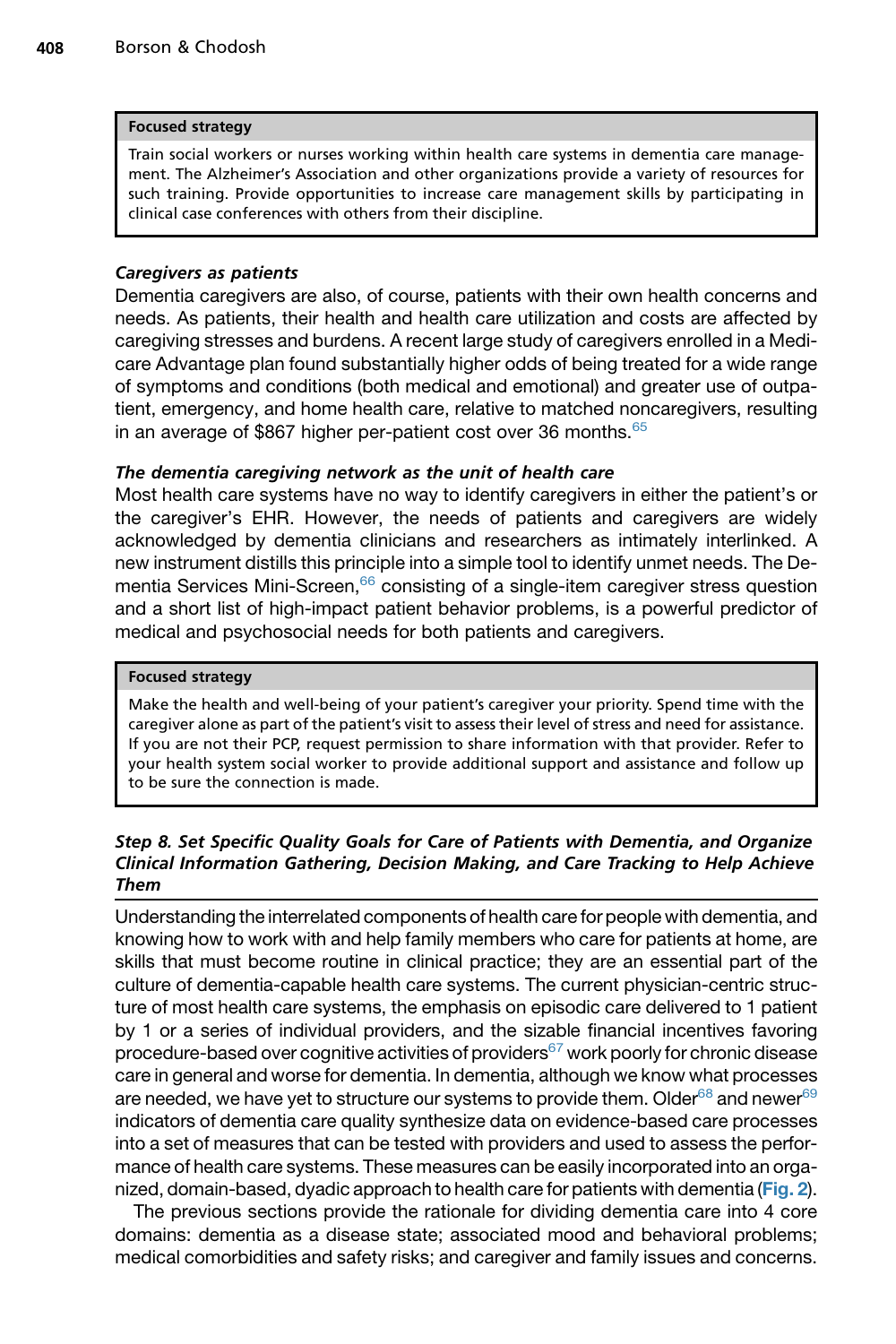#### Focused strategy

Train social workers or nurses working within health care systems in dementia care management. The Alzheimer's Association and other organizations provide a variety of resources for such training. Provide opportunities to increase care management skills by participating in clinical case conferences with others from their discipline.

## Caregivers as patients

Dementia caregivers are also, of course, patients with their own health concerns and needs. As patients, their health and health care utilization and costs are affected by caregiving stresses and burdens. A recent large study of caregivers enrolled in a Medicare Advantage plan found substantially higher odds of being treated for a wide range of symptoms and conditions (both medical and emotional) and greater use of outpatient, emergency, and home health care, relative to matched noncaregivers, resulting in an average of \$867 higher per-patient cost over 36 months.<sup>[65](#page-23-0)</sup>

# The dementia caregiving network as the unit of health care

Most health care systems have no way to identify caregivers in either the patient's or the caregiver's EHR. However, the needs of patients and caregivers are widely acknowledged by dementia clinicians and researchers as intimately interlinked. A new instrument distills this principle into a simple tool to identify unmet needs. The De-mentia Services Mini-Screen,<sup>[66](#page-23-0)</sup> consisting of a single-item caregiver stress question and a short list of high-impact patient behavior problems, is a powerful predictor of medical and psychosocial needs for both patients and caregivers.

#### Focused strategy

Make the health and well-being of your patient's caregiver your priority. Spend time with the caregiver alone as part of the patient's visit to assess their level of stress and need for assistance. If you are not their PCP, request permission to share information with that provider. Refer to your health system social worker to provide additional support and assistance and follow up to be sure the connection is made.

# Step 8. Set Specific Quality Goals for Care of Patients with Dementia, and Organize Clinical Information Gathering, Decision Making, and Care Tracking to Help Achieve Them

Understanding the interrelated components of health care for people with dementia, and knowing how to work with and help family members who care for patients at home, are skills that must become routine in clinical practice; they are an essential part of the culture of dementia-capable health care systems. The current physician-centric structure of most health care systems, the emphasis on episodic care delivered to 1 patient by 1 or a series of individual providers, and the sizable financial incentives favoring procedure-based over cognitive activities of providers $67$  work poorly for chronic disease care in general and worse for dementia. In dementia, although we know what processes are needed, we have yet to structure our systems to provide them. Older $^{68}$  and newer $^{69}$  $^{69}$  $^{69}$ indicators of dementia care quality synthesize data on evidence-based care processes into a set of measures that can be tested with providers and used to assess the performance of health care systems. These measures can be easily incorporated into an organized, domain-based, dyadic approach to health care for patients with dementia ([Fig. 2](#page-14-0)).

The previous sections provide the rationale for dividing dementia care into 4 core domains: dementia as a disease state; associated mood and behavioral problems; medical comorbidities and safety risks; and caregiver and family issues and concerns.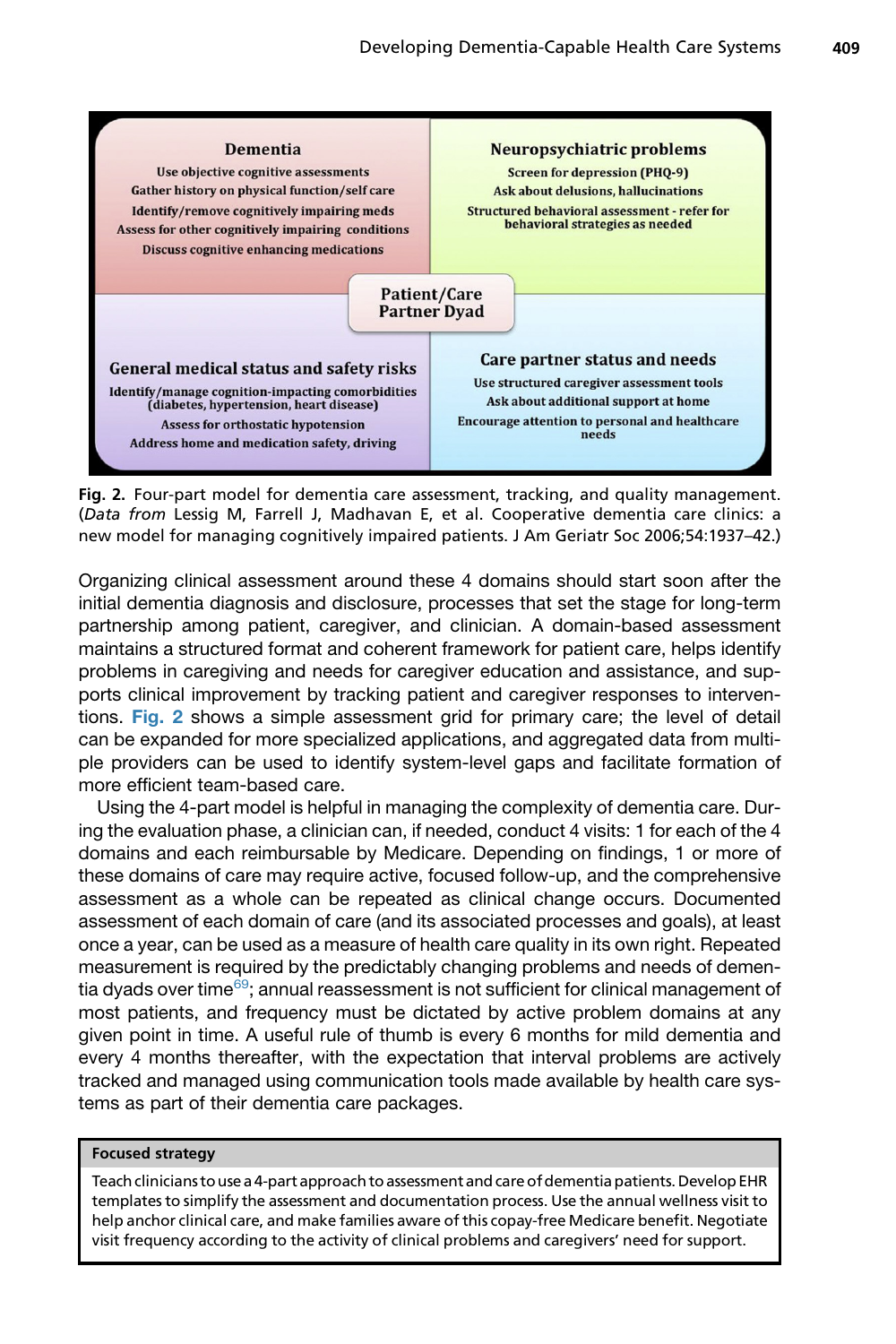<span id="page-14-0"></span>

Fig. 2. Four-part model for dementia care assessment, tracking, and quality management. (Data from Lessig M, Farrell J, Madhavan E, et al. Cooperative dementia care clinics: a new model for managing cognitively impaired patients. J Am Geriatr Soc 2006;54:1937–42.)

Organizing clinical assessment around these 4 domains should start soon after the initial dementia diagnosis and disclosure, processes that set the stage for long-term partnership among patient, caregiver, and clinician. A domain-based assessment maintains a structured format and coherent framework for patient care, helps identify problems in caregiving and needs for caregiver education and assistance, and supports clinical improvement by tracking patient and caregiver responses to interventions. Fig. 2 shows a simple assessment grid for primary care; the level of detail can be expanded for more specialized applications, and aggregated data from multiple providers can be used to identify system-level gaps and facilitate formation of more efficient team-based care.

Using the 4-part model is helpful in managing the complexity of dementia care. During the evaluation phase, a clinician can, if needed, conduct 4 visits: 1 for each of the 4 domains and each reimbursable by Medicare. Depending on findings, 1 or more of these domains of care may require active, focused follow-up, and the comprehensive assessment as a whole can be repeated as clinical change occurs. Documented assessment of each domain of care (and its associated processes and goals), at least once a year, can be used as a measure of health care quality in its own right. Repeated measurement is required by the predictably changing problems and needs of demen-tia dyads over time<sup>[69](#page-23-0)</sup>; annual reassessment is not sufficient for clinical management of most patients, and frequency must be dictated by active problem domains at any given point in time. A useful rule of thumb is every 6 months for mild dementia and every 4 months thereafter, with the expectation that interval problems are actively tracked and managed using communication tools made available by health care systems as part of their dementia care packages.

## Focused strategy

Teach clinicians to use a 4-part approach to assessment and care of dementia patients. Develop EHR templates to simplify the assessment and documentation process. Use the annual wellness visit to help anchor clinical care, and make families aware of this copay-free Medicare benefit. Negotiate visit frequency according to the activity of clinical problems and caregivers' need for support.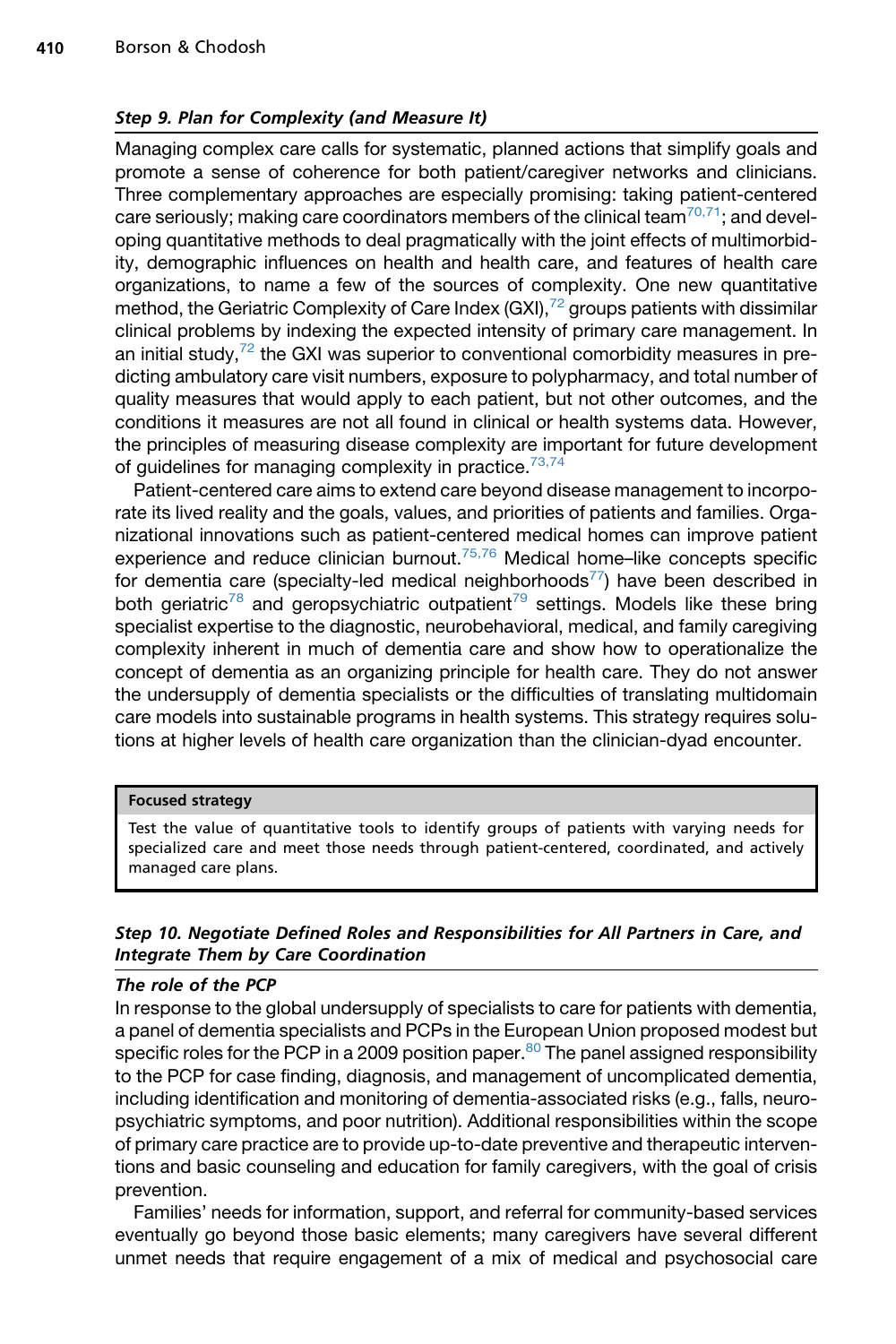# Step 9. Plan for Complexity (and Measure It)

Managing complex care calls for systematic, planned actions that simplify goals and promote a sense of coherence for both patient/caregiver networks and clinicians. Three complementary approaches are especially promising: taking patient-centered care seriously; making care coordinators members of the clinical team<sup> $70,71$ </sup>; and developing quantitative methods to deal pragmatically with the joint effects of multimorbidity, demographic influences on health and health care, and features of health care organizations, to name a few of the sources of complexity. One new quantitative method, the Geriatric Complexity of Care Index  $(GXI),<sup>72</sup>$  $(GXI),<sup>72</sup>$  $(GXI),<sup>72</sup>$  groups patients with dissimilar clinical problems by indexing the expected intensity of primary care management. In an initial study, $72$  the GXI was superior to conventional comorbidity measures in predicting ambulatory care visit numbers, exposure to polypharmacy, and total number of quality measures that would apply to each patient, but not other outcomes, and the conditions it measures are not all found in clinical or health systems data. However, the principles of measuring disease complexity are important for future development of guidelines for managing complexity in practice.<sup>[73,74](#page-24-0)</sup>

Patient-centered care aims to extend care beyond disease management to incorporate its lived reality and the goals, values, and priorities of patients and families. Organizational innovations such as patient-centered medical homes can improve patient experience and reduce clinician burnout. $75,76$  Medical home–like concepts specific for dementia care (specialty-led medical neighborhoods $^{77}$ ) have been described in both geriatric<sup>[78](#page-24-0)</sup> and geropsychiatric outpatient<sup>[79](#page-24-0)</sup> settings. Models like these bring specialist expertise to the diagnostic, neurobehavioral, medical, and family caregiving complexity inherent in much of dementia care and show how to operationalize the concept of dementia as an organizing principle for health care. They do not answer the undersupply of dementia specialists or the difficulties of translating multidomain care models into sustainable programs in health systems. This strategy requires solutions at higher levels of health care organization than the clinician-dyad encounter.

### Focused strategy

Test the value of quantitative tools to identify groups of patients with varying needs for specialized care and meet those needs through patient-centered, coordinated, and actively managed care plans.

# Step 10. Negotiate Defined Roles and Responsibilities for All Partners in Care, and Integrate Them by Care Coordination

# The role of the PCP

In response to the global undersupply of specialists to care for patients with dementia, a panel of dementia specialists and PCPs in the European Union proposed modest but specific roles for the PCP in a 2009 position paper.<sup>[80](#page-24-0)</sup> The panel assigned responsibility to the PCP for case finding, diagnosis, and management of uncomplicated dementia, including identification and monitoring of dementia-associated risks (e.g., falls, neuropsychiatric symptoms, and poor nutrition). Additional responsibilities within the scope of primary care practice are to provide up-to-date preventive and therapeutic interventions and basic counseling and education for family caregivers, with the goal of crisis prevention.

Families' needs for information, support, and referral for community-based services eventually go beyond those basic elements; many caregivers have several different unmet needs that require engagement of a mix of medical and psychosocial care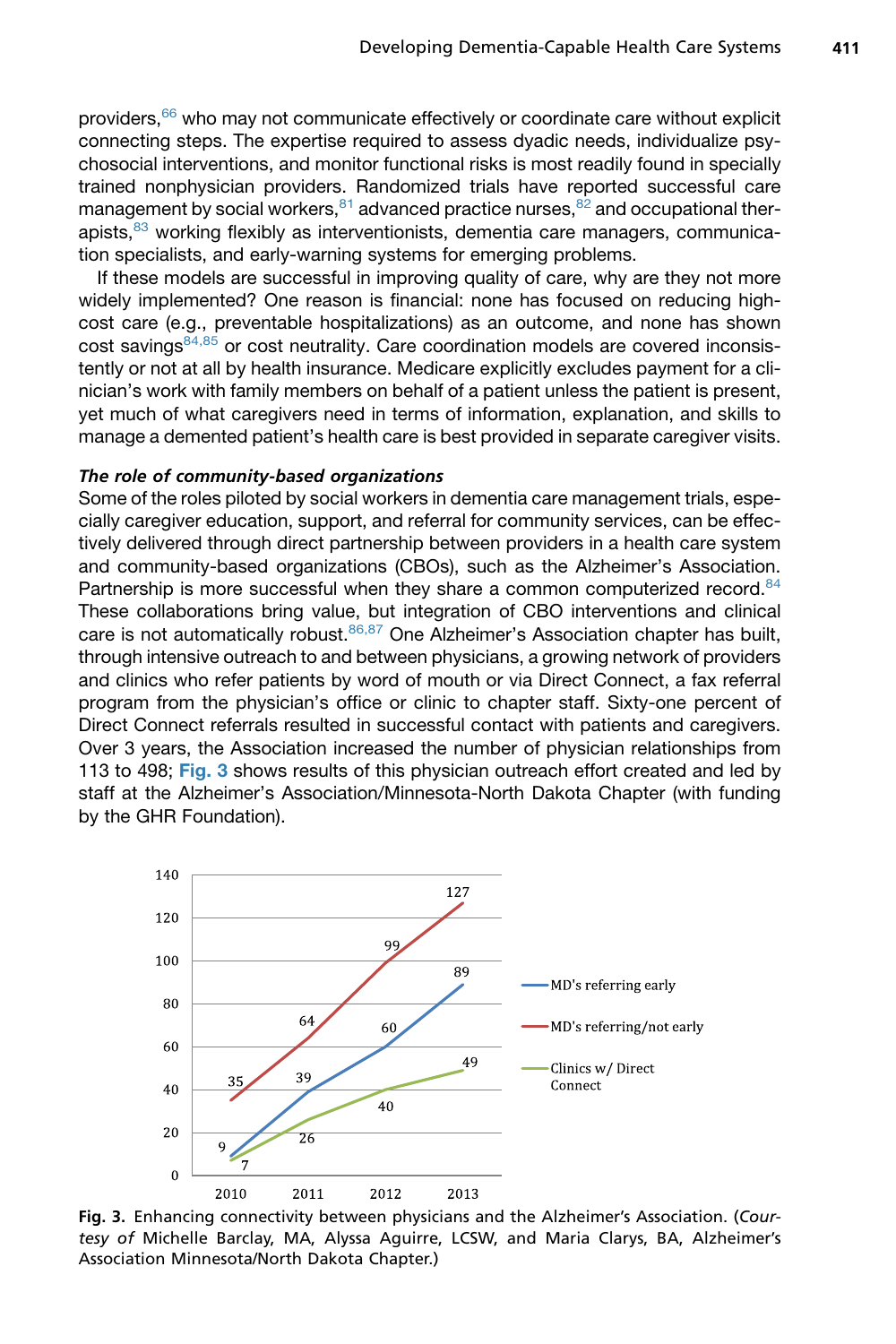providers, $66$  who may not communicate effectively or coordinate care without explicit connecting steps. The expertise required to assess dyadic needs, individualize psychosocial interventions, and monitor functional risks is most readily found in specially trained nonphysician providers. Randomized trials have reported successful care management by social workers,  $81$  advanced practice nurses,  $82$  and occupational ther-apists,<sup>[83](#page-24-0)</sup> working flexibly as interventionists, dementia care managers, communication specialists, and early-warning systems for emerging problems.

If these models are successful in improving quality of care, why are they not more widely implemented? One reason is financial: none has focused on reducing highcost care (e.g., preventable hospitalizations) as an outcome, and none has shown  $cost$  savings $84,85$  or cost neutrality. Care coordination models are covered inconsistently or not at all by health insurance. Medicare explicitly excludes payment for a clinician's work with family members on behalf of a patient unless the patient is present, yet much of what caregivers need in terms of information, explanation, and skills to manage a demented patient's health care is best provided in separate caregiver visits.

## The role of community-based organizations

Some of the roles piloted by social workers in dementia care management trials, especially caregiver education, support, and referral for community services, can be effectively delivered through direct partnership between providers in a health care system and community-based organizations (CBOs), such as the Alzheimer's Association. Partnership is more successful when they share a common computerized record.<sup>[84](#page-24-0)</sup> These collaborations bring value, but integration of CBO interventions and clinical care is not automatically robust.  $86,87$  One Alzheimer's Association chapter has built, through intensive outreach to and between physicians, a growing network of providers and clinics who refer patients by word of mouth or via Direct Connect, a fax referral program from the physician's office or clinic to chapter staff. Sixty-one percent of Direct Connect referrals resulted in successful contact with patients and caregivers. Over 3 years, the Association increased the number of physician relationships from 113 to 498; Fig. 3 shows results of this physician outreach effort created and led by staff at the Alzheimer's Association/Minnesota-North Dakota Chapter (with funding by the GHR Foundation).



Fig. 3. Enhancing connectivity between physicians and the Alzheimer's Association. (Courtesy of Michelle Barclay, MA, Alyssa Aguirre, LCSW, and Maria Clarys, BA, Alzheimer's Association Minnesota/North Dakota Chapter.)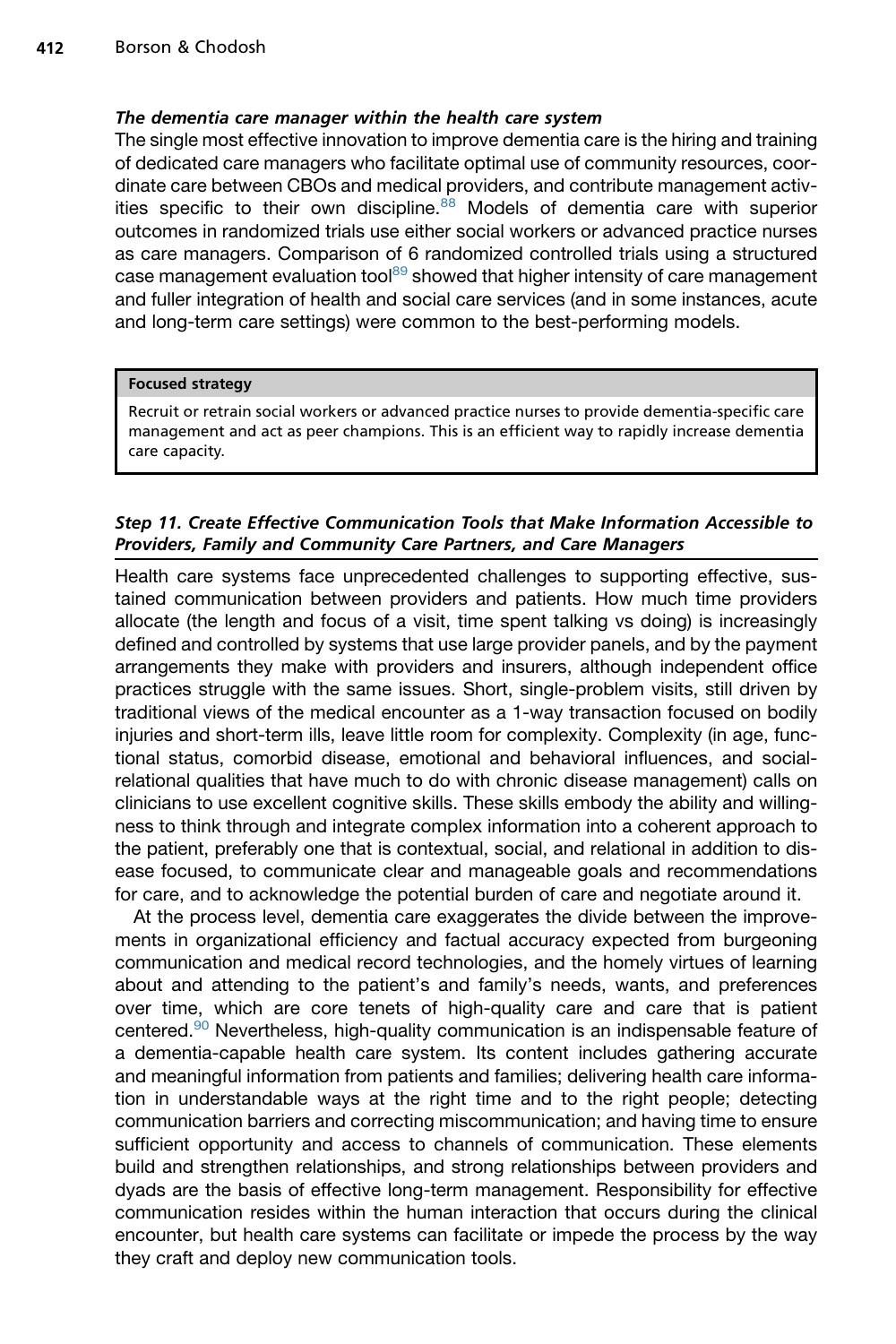#### The dementia care manager within the health care system

The single most effective innovation to improve dementia care is the hiring and training of dedicated care managers who facilitate optimal use of community resources, coordinate care between CBOs and medical providers, and contribute management activ-ities specific to their own discipline.<sup>[88](#page-24-0)</sup> Models of dementia care with superior outcomes in randomized trials use either social workers or advanced practice nurses as care managers. Comparison of 6 randomized controlled trials using a structured case management evaluation tool<sup>[89](#page-24-0)</sup> showed that higher intensity of care management and fuller integration of health and social care services (and in some instances, acute and long-term care settings) were common to the best-performing models.

#### Focused strategy

Recruit or retrain social workers or advanced practice nurses to provide dementia-specific care management and act as peer champions. This is an efficient way to rapidly increase dementia care capacity.

# Step 11. Create Effective Communication Tools that Make Information Accessible to Providers, Family and Community Care Partners, and Care Managers

Health care systems face unprecedented challenges to supporting effective, sustained communication between providers and patients. How much time providers allocate (the length and focus of a visit, time spent talking vs doing) is increasingly defined and controlled by systems that use large provider panels, and by the payment arrangements they make with providers and insurers, although independent office practices struggle with the same issues. Short, single-problem visits, still driven by traditional views of the medical encounter as a 1-way transaction focused on bodily injuries and short-term ills, leave little room for complexity. Complexity (in age, functional status, comorbid disease, emotional and behavioral influences, and socialrelational qualities that have much to do with chronic disease management) calls on clinicians to use excellent cognitive skills. These skills embody the ability and willingness to think through and integrate complex information into a coherent approach to the patient, preferably one that is contextual, social, and relational in addition to disease focused, to communicate clear and manageable goals and recommendations for care, and to acknowledge the potential burden of care and negotiate around it.

At the process level, dementia care exaggerates the divide between the improvements in organizational efficiency and factual accuracy expected from burgeoning communication and medical record technologies, and the homely virtues of learning about and attending to the patient's and family's needs, wants, and preferences over time, which are core tenets of high-quality care and care that is patient centered.[90](#page-24-0) Nevertheless, high-quality communication is an indispensable feature of a dementia-capable health care system. Its content includes gathering accurate and meaningful information from patients and families; delivering health care information in understandable ways at the right time and to the right people; detecting communication barriers and correcting miscommunication; and having time to ensure sufficient opportunity and access to channels of communication. These elements build and strengthen relationships, and strong relationships between providers and dyads are the basis of effective long-term management. Responsibility for effective communication resides within the human interaction that occurs during the clinical encounter, but health care systems can facilitate or impede the process by the way they craft and deploy new communication tools.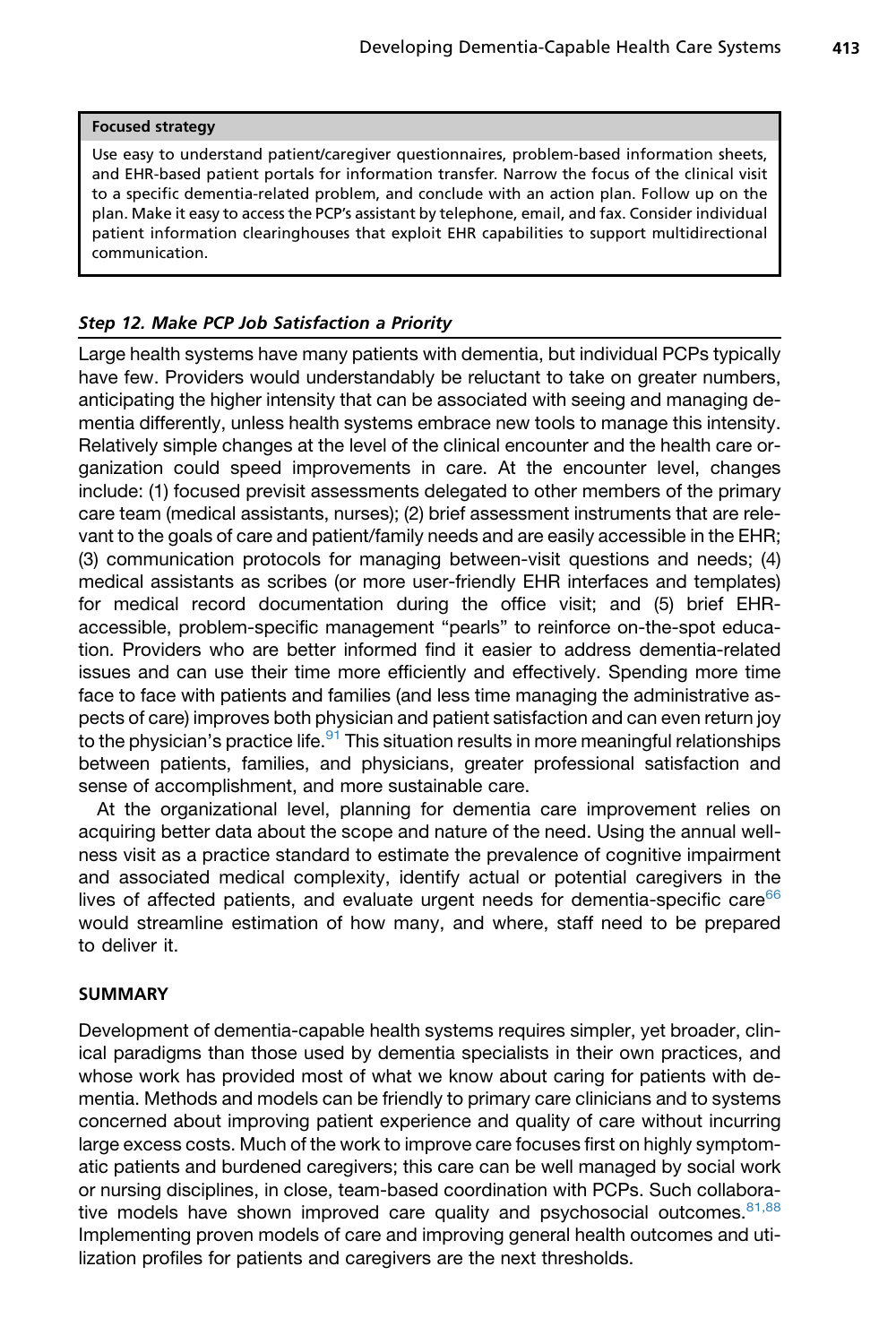#### Focused strategy

Use easy to understand patient/caregiver questionnaires, problem-based information sheets, and EHR-based patient portals for information transfer. Narrow the focus of the clinical visit to a specific dementia-related problem, and conclude with an action plan. Follow up on the plan. Make it easy to access the PCP's assistant by telephone, email, and fax. Consider individual patient information clearinghouses that exploit EHR capabilities to support multidirectional communication.

# Step 12. Make PCP Job Satisfaction a Priority

Large health systems have many patients with dementia, but individual PCPs typically have few. Providers would understandably be reluctant to take on greater numbers, anticipating the higher intensity that can be associated with seeing and managing dementia differently, unless health systems embrace new tools to manage this intensity. Relatively simple changes at the level of the clinical encounter and the health care organization could speed improvements in care. At the encounter level, changes include: (1) focused previsit assessments delegated to other members of the primary care team (medical assistants, nurses); (2) brief assessment instruments that are relevant to the goals of care and patient/family needs and are easily accessible in the EHR; (3) communication protocols for managing between-visit questions and needs; (4) medical assistants as scribes (or more user-friendly EHR interfaces and templates) for medical record documentation during the office visit; and (5) brief EHRaccessible, problem-specific management "pearls" to reinforce on-the-spot education. Providers who are better informed find it easier to address dementia-related issues and can use their time more efficiently and effectively. Spending more time face to face with patients and families (and less time managing the administrative aspects of care) improves both physician and patient satisfaction and can even return joy to the physician's practice life. $91$  This situation results in more meaningful relationships between patients, families, and physicians, greater professional satisfaction and sense of accomplishment, and more sustainable care.

At the organizational level, planning for dementia care improvement relies on acquiring better data about the scope and nature of the need. Using the annual wellness visit as a practice standard to estimate the prevalence of cognitive impairment and associated medical complexity, identify actual or potential caregivers in the lives of affected patients, and evaluate urgent needs for dementia-specific care $66$ would streamline estimation of how many, and where, staff need to be prepared to deliver it.

### SUMMARY

Development of dementia-capable health systems requires simpler, yet broader, clinical paradigms than those used by dementia specialists in their own practices, and whose work has provided most of what we know about caring for patients with dementia. Methods and models can be friendly to primary care clinicians and to systems concerned about improving patient experience and quality of care without incurring large excess costs. Much of the work to improve care focuses first on highly symptomatic patients and burdened caregivers; this care can be well managed by social work or nursing disciplines, in close, team-based coordination with PCPs. Such collabora-tive models have shown improved care quality and psychosocial outcomes.<sup>[81,88](#page-24-0)</sup> Implementing proven models of care and improving general health outcomes and utilization profiles for patients and caregivers are the next thresholds.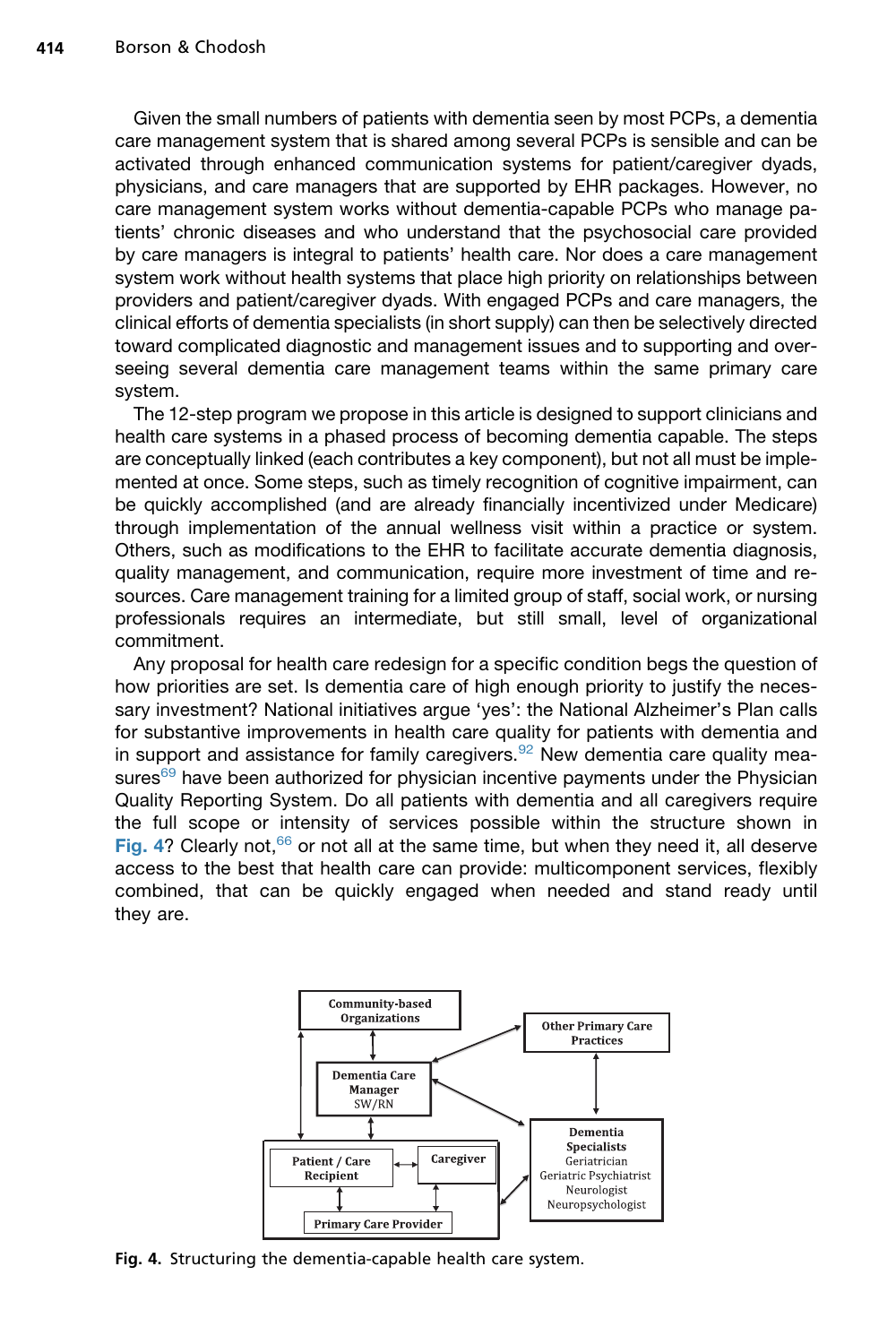Given the small numbers of patients with dementia seen by most PCPs, a dementia care management system that is shared among several PCPs is sensible and can be activated through enhanced communication systems for patient/caregiver dyads, physicians, and care managers that are supported by EHR packages. However, no care management system works without dementia-capable PCPs who manage patients' chronic diseases and who understand that the psychosocial care provided by care managers is integral to patients' health care. Nor does a care management system work without health systems that place high priority on relationships between providers and patient/caregiver dyads. With engaged PCPs and care managers, the clinical efforts of dementia specialists (in short supply) can then be selectively directed toward complicated diagnostic and management issues and to supporting and overseeing several dementia care management teams within the same primary care system.

The 12-step program we propose in this article is designed to support clinicians and health care systems in a phased process of becoming dementia capable. The steps are conceptually linked (each contributes a key component), but not all must be implemented at once. Some steps, such as timely recognition of cognitive impairment, can be quickly accomplished (and are already financially incentivized under Medicare) through implementation of the annual wellness visit within a practice or system. Others, such as modifications to the EHR to facilitate accurate dementia diagnosis, quality management, and communication, require more investment of time and resources. Care management training for a limited group of staff, social work, or nursing professionals requires an intermediate, but still small, level of organizational commitment.

Any proposal for health care redesign for a specific condition begs the question of how priorities are set. Is dementia care of high enough priority to justify the necessary investment? National initiatives argue 'yes': the National Alzheimer's Plan calls for substantive improvements in health care quality for patients with dementia and in support and assistance for family caregivers. $92$  New dementia care quality measures $69$  have been authorized for physician incentive payments under the Physician Quality Reporting System. Do all patients with dementia and all caregivers require the full scope or intensity of services possible within the structure shown in Fig. 4? Clearly not,  $66$  or not all at the same time, but when they need it, all deserve access to the best that health care can provide: multicomponent services, flexibly combined, that can be quickly engaged when needed and stand ready until they are.



Fig. 4. Structuring the dementia-capable health care system.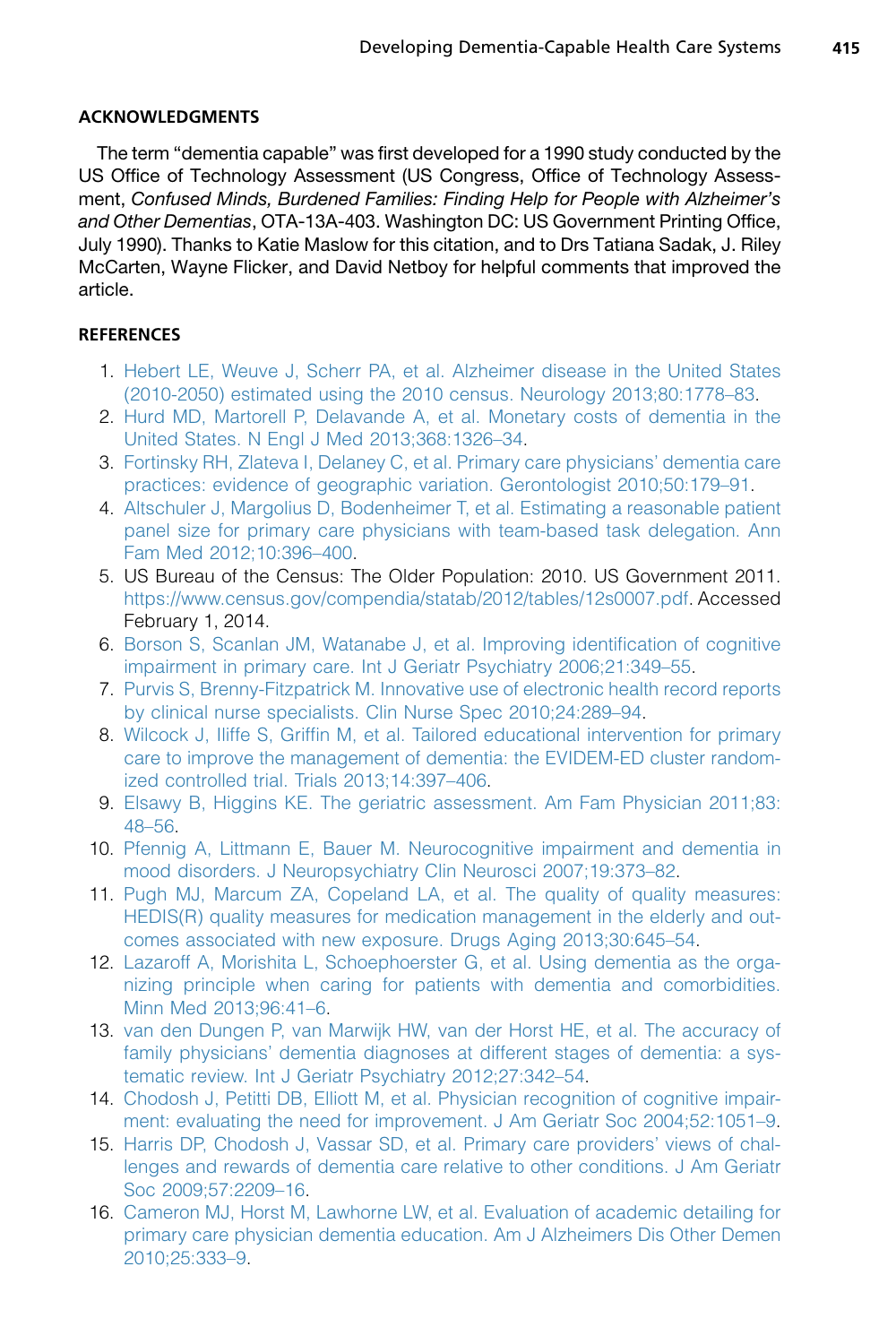## <span id="page-20-0"></span>ACKNOWLEDGMENTS

The term "dementia capable" was first developed for a 1990 study conducted by the US Office of Technology Assessment (US Congress, Office of Technology Assessment, *Confused Minds, Burdened Families: Finding Help for People with Alzheimer's and Other Dementias*, OTA-13A-403. Washington DC: US Government Printing Office, July 1990). Thanks to Katie Maslow for this citation, and to Drs Tatiana Sadak, J. Riley McCarten, Wayne Flicker, and David Netboy for helpful comments that improved the article.

# **REFERENCES**

- 1. [Hebert LE, Weuve J, Scherr PA, et al. Alzheimer disease in the United States](http://refhub.elsevier.com/S0749-0690(14)00046-9/sref1) [\(2010-2050\) estimated using the 2010 census. Neurology 2013;80:1778–83.](http://refhub.elsevier.com/S0749-0690(14)00046-9/sref1)
- 2. [Hurd MD, Martorell P, Delavande A, et al. Monetary costs of dementia in the](http://refhub.elsevier.com/S0749-0690(14)00046-9/sref2) [United States. N Engl J Med 2013;368:1326–34](http://refhub.elsevier.com/S0749-0690(14)00046-9/sref2).
- 3. [Fortinsky RH, Zlateva I, Delaney C, et al. Primary care physicians' dementia care](http://refhub.elsevier.com/S0749-0690(14)00046-9/sref3) [practices: evidence of geographic variation. Gerontologist 2010;50:179–91.](http://refhub.elsevier.com/S0749-0690(14)00046-9/sref3)
- 4. [Altschuler J, Margolius D, Bodenheimer T, et al. Estimating a reasonable patient](http://refhub.elsevier.com/S0749-0690(14)00046-9/sref4) [panel size for primary care physicians with team-based task delegation. Ann](http://refhub.elsevier.com/S0749-0690(14)00046-9/sref4) [Fam Med 2012;10:396–400.](http://refhub.elsevier.com/S0749-0690(14)00046-9/sref4)
- 5. US Bureau of the Census: The Older Population: 2010. US Government 2011. <https://www.census.gov/compendia/statab/2012/tables/12s0007.pdf>. Accessed February 1, 2014.
- 6. [Borson S, Scanlan JM, Watanabe J, et al. Improving identification of cognitive](http://refhub.elsevier.com/S0749-0690(14)00046-9/sref5) [impairment in primary care. Int J Geriatr Psychiatry 2006;21:349–55](http://refhub.elsevier.com/S0749-0690(14)00046-9/sref5).
- 7. [Purvis S, Brenny-Fitzpatrick M. Innovative use of electronic health record reports](http://refhub.elsevier.com/S0749-0690(14)00046-9/sref6) [by clinical nurse specialists. Clin Nurse Spec 2010;24:289–94](http://refhub.elsevier.com/S0749-0690(14)00046-9/sref6).
- 8. [Wilcock J, Iliffe S, Griffin M, et al. Tailored educational intervention for primary](http://refhub.elsevier.com/S0749-0690(14)00046-9/sref7) [care to improve the management of dementia: the EVIDEM-ED cluster random](http://refhub.elsevier.com/S0749-0690(14)00046-9/sref7)[ized controlled trial. Trials 2013;14:397–406.](http://refhub.elsevier.com/S0749-0690(14)00046-9/sref7)
- 9. [Elsawy B, Higgins KE. The geriatric assessment. Am Fam Physician 2011;83:](http://refhub.elsevier.com/S0749-0690(14)00046-9/sref8) [48–56](http://refhub.elsevier.com/S0749-0690(14)00046-9/sref8).
- 10. [Pfennig A, Littmann E, Bauer M. Neurocognitive impairment and dementia in](http://refhub.elsevier.com/S0749-0690(14)00046-9/sref9) [mood disorders. J Neuropsychiatry Clin Neurosci 2007;19:373–82.](http://refhub.elsevier.com/S0749-0690(14)00046-9/sref9)
- 11. [Pugh MJ, Marcum ZA, Copeland LA, et al. The quality of quality measures:](http://refhub.elsevier.com/S0749-0690(14)00046-9/sref10) [HEDIS\(R\) quality measures for medication management in the elderly and out](http://refhub.elsevier.com/S0749-0690(14)00046-9/sref10)[comes associated with new exposure. Drugs Aging 2013;30:645–54](http://refhub.elsevier.com/S0749-0690(14)00046-9/sref10).
- 12. [Lazaroff A, Morishita L, Schoephoerster G, et al. Using dementia as the orga](http://refhub.elsevier.com/S0749-0690(14)00046-9/sref11)[nizing principle when caring for patients with dementia and comorbidities.](http://refhub.elsevier.com/S0749-0690(14)00046-9/sref11) [Minn Med 2013;96:41–6](http://refhub.elsevier.com/S0749-0690(14)00046-9/sref11).
- 13. [van den Dungen P, van Marwijk HW, van der Horst HE, et al. The accuracy of](http://refhub.elsevier.com/S0749-0690(14)00046-9/sref12) [family physicians' dementia diagnoses at different stages of dementia: a sys](http://refhub.elsevier.com/S0749-0690(14)00046-9/sref12)[tematic review. Int J Geriatr Psychiatry 2012;27:342–54.](http://refhub.elsevier.com/S0749-0690(14)00046-9/sref12)
- 14. [Chodosh J, Petitti DB, Elliott M, et al. Physician recognition of cognitive impair](http://refhub.elsevier.com/S0749-0690(14)00046-9/sref13)[ment: evaluating the need for improvement. J Am Geriatr Soc 2004;52:1051–9](http://refhub.elsevier.com/S0749-0690(14)00046-9/sref13).
- 15. [Harris DP, Chodosh J, Vassar SD, et al. Primary care providers' views of chal](http://refhub.elsevier.com/S0749-0690(14)00046-9/sref14)[lenges and rewards of dementia care relative to other conditions. J Am Geriatr](http://refhub.elsevier.com/S0749-0690(14)00046-9/sref14) [Soc 2009;57:2209–16](http://refhub.elsevier.com/S0749-0690(14)00046-9/sref14).
- 16. [Cameron MJ, Horst M, Lawhorne LW, et al. Evaluation of academic detailing for](http://refhub.elsevier.com/S0749-0690(14)00046-9/sref15) [primary care physician dementia education. Am J Alzheimers Dis Other Demen](http://refhub.elsevier.com/S0749-0690(14)00046-9/sref15) [2010;25:333–9.](http://refhub.elsevier.com/S0749-0690(14)00046-9/sref15)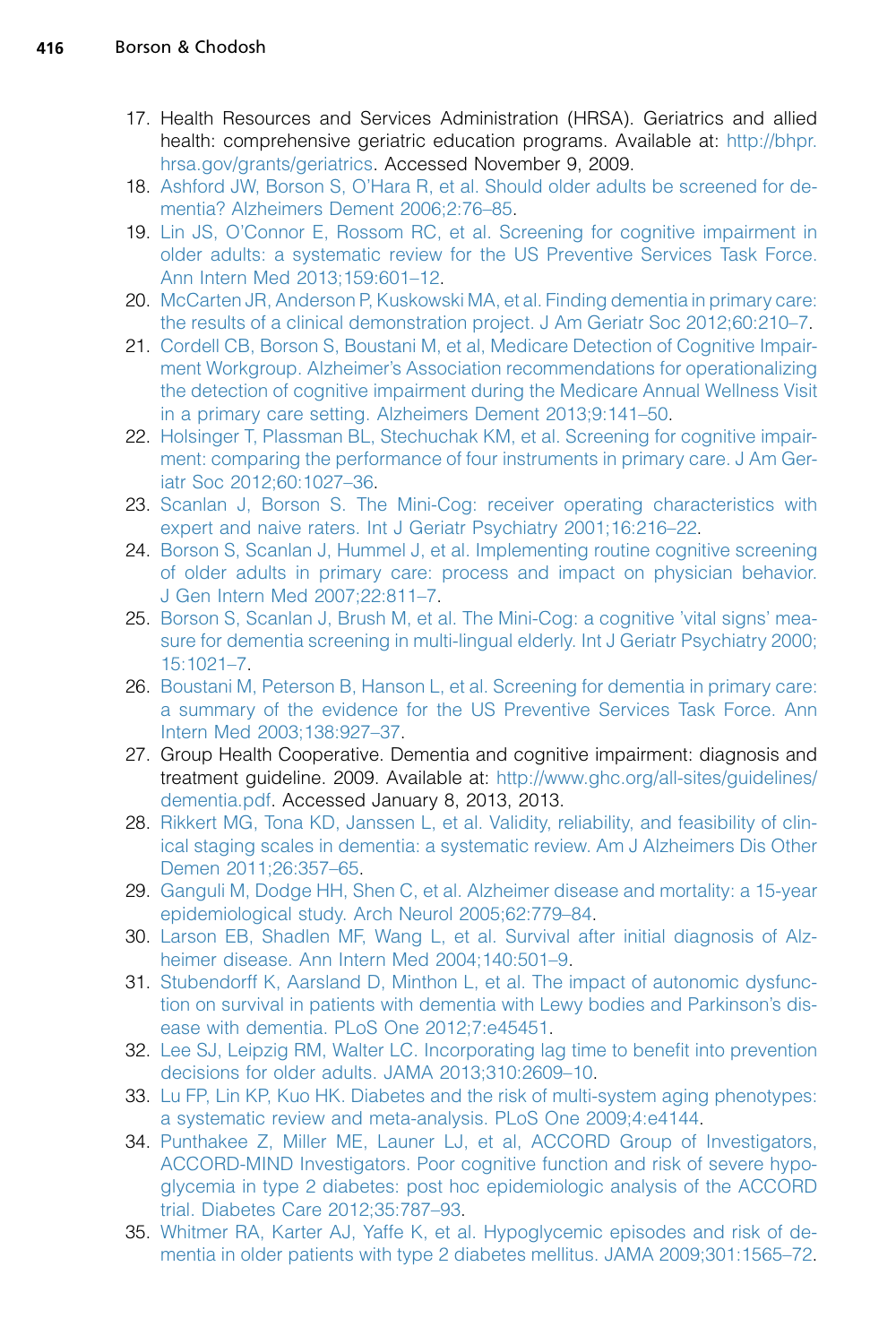- <span id="page-21-0"></span>17. Health Resources and Services Administration (HRSA). Geriatrics and allied health: comprehensive geriatric education programs. Available at: [http://bhpr.](http://bhpr.hrsa.gov/grants/geriatrics) [hrsa.gov/grants/geriatrics.](http://bhpr.hrsa.gov/grants/geriatrics) Accessed November 9, 2009.
- 18. [Ashford JW, Borson S, O'Hara R, et al. Should older adults be screened for de](http://refhub.elsevier.com/S0749-0690(14)00046-9/sref16)[mentia? Alzheimers Dement 2006;2:76–85](http://refhub.elsevier.com/S0749-0690(14)00046-9/sref16).
- 19. [Lin JS, O'Connor E, Rossom RC, et al. Screening for cognitive impairment in](http://refhub.elsevier.com/S0749-0690(14)00046-9/sref17) [older adults: a systematic review for the US Preventive Services Task Force.](http://refhub.elsevier.com/S0749-0690(14)00046-9/sref17) [Ann Intern Med 2013;159:601–12.](http://refhub.elsevier.com/S0749-0690(14)00046-9/sref17)
- 20. [McCarten JR, Anderson P, Kuskowski MA, et al. Finding dementia in primary care:](http://refhub.elsevier.com/S0749-0690(14)00046-9/sref18) [the results of a clinical demonstration project. J Am Geriatr Soc 2012;60:210–7.](http://refhub.elsevier.com/S0749-0690(14)00046-9/sref18)
- 21. [Cordell CB, Borson S, Boustani M, et al, Medicare Detection of Cognitive Impair](http://refhub.elsevier.com/S0749-0690(14)00046-9/sref19)[ment Workgroup. Alzheimer's Association recommendations for operationalizing](http://refhub.elsevier.com/S0749-0690(14)00046-9/sref19) [the detection of cognitive impairment during the Medicare Annual Wellness Visit](http://refhub.elsevier.com/S0749-0690(14)00046-9/sref19) [in a primary care setting. Alzheimers Dement 2013;9:141–50](http://refhub.elsevier.com/S0749-0690(14)00046-9/sref19).
- 22. [Holsinger T, Plassman BL, Stechuchak KM, et al. Screening for cognitive impair](http://refhub.elsevier.com/S0749-0690(14)00046-9/sref20)[ment: comparing the performance of four instruments in primary care. J Am Ger](http://refhub.elsevier.com/S0749-0690(14)00046-9/sref20)[iatr Soc 2012;60:1027–36](http://refhub.elsevier.com/S0749-0690(14)00046-9/sref20).
- 23. [Scanlan J, Borson S. The Mini-Cog: receiver operating characteristics with](http://refhub.elsevier.com/S0749-0690(14)00046-9/sref21) [expert and naive raters. Int J Geriatr Psychiatry 2001;16:216–22.](http://refhub.elsevier.com/S0749-0690(14)00046-9/sref21)
- 24. [Borson S, Scanlan J, Hummel J, et al. Implementing routine cognitive screening](http://refhub.elsevier.com/S0749-0690(14)00046-9/sref22) [of older adults in primary care: process and impact on physician behavior.](http://refhub.elsevier.com/S0749-0690(14)00046-9/sref22) [J Gen Intern Med 2007;22:811–7.](http://refhub.elsevier.com/S0749-0690(14)00046-9/sref22)
- 25. [Borson S, Scanlan J, Brush M, et al. The Mini-Cog: a cognitive 'vital signs' mea](http://refhub.elsevier.com/S0749-0690(14)00046-9/sref23)[sure for dementia screening in multi-lingual elderly. Int J Geriatr Psychiatry 2000;](http://refhub.elsevier.com/S0749-0690(14)00046-9/sref23) [15:1021–7.](http://refhub.elsevier.com/S0749-0690(14)00046-9/sref23)
- 26. [Boustani M, Peterson B, Hanson L, et al. Screening for dementia in primary care:](http://refhub.elsevier.com/S0749-0690(14)00046-9/sref24) [a summary of the evidence for the US Preventive Services Task Force. Ann](http://refhub.elsevier.com/S0749-0690(14)00046-9/sref24) [Intern Med 2003;138:927–37](http://refhub.elsevier.com/S0749-0690(14)00046-9/sref24).
- 27. Group Health Cooperative. Dementia and cognitive impairment: diagnosis and treatment guideline. 2009. Available at: [http://www.ghc.org/all-sites/guidelines/](http://www.ghc.org/all-sites/guidelines/dementia.pdf) [dementia.pdf.](http://www.ghc.org/all-sites/guidelines/dementia.pdf) Accessed January 8, 2013, 2013.
- 28. [Rikkert MG, Tona KD, Janssen L, et al. Validity, reliability, and feasibility of clin](http://refhub.elsevier.com/S0749-0690(14)00046-9/sref25)[ical staging scales in dementia: a systematic review. Am J Alzheimers Dis Other](http://refhub.elsevier.com/S0749-0690(14)00046-9/sref25) [Demen 2011;26:357–65](http://refhub.elsevier.com/S0749-0690(14)00046-9/sref25).
- 29. [Ganguli M, Dodge HH, Shen C, et al. Alzheimer disease and mortality: a 15-year](http://refhub.elsevier.com/S0749-0690(14)00046-9/sref26) [epidemiological study. Arch Neurol 2005;62:779–84](http://refhub.elsevier.com/S0749-0690(14)00046-9/sref26).
- 30. [Larson EB, Shadlen MF, Wang L, et al. Survival after initial diagnosis of Alz](http://refhub.elsevier.com/S0749-0690(14)00046-9/sref27)[heimer disease. Ann Intern Med 2004;140:501–9](http://refhub.elsevier.com/S0749-0690(14)00046-9/sref27).
- 31. [Stubendorff K, Aarsland D, Minthon L, et al. The impact of autonomic dysfunc](http://refhub.elsevier.com/S0749-0690(14)00046-9/sref28)[tion on survival in patients with dementia with Lewy bodies and Parkinson's dis](http://refhub.elsevier.com/S0749-0690(14)00046-9/sref28)[ease with dementia. PLoS One 2012;7:e45451.](http://refhub.elsevier.com/S0749-0690(14)00046-9/sref28)
- 32. [Lee SJ, Leipzig RM, Walter LC. Incorporating lag time to benefit into prevention](http://refhub.elsevier.com/S0749-0690(14)00046-9/sref29) [decisions for older adults. JAMA 2013;310:2609–10.](http://refhub.elsevier.com/S0749-0690(14)00046-9/sref29)
- 33. [Lu FP, Lin KP, Kuo HK. Diabetes and the risk of multi-system aging phenotypes:](http://refhub.elsevier.com/S0749-0690(14)00046-9/sref30) [a systematic review and meta-analysis. PLoS One 2009;4:e4144.](http://refhub.elsevier.com/S0749-0690(14)00046-9/sref30)
- 34. [Punthakee Z, Miller ME, Launer LJ, et al, ACCORD Group of Investigators,](http://refhub.elsevier.com/S0749-0690(14)00046-9/sref31) [ACCORD-MIND Investigators. Poor cognitive function and risk of severe hypo](http://refhub.elsevier.com/S0749-0690(14)00046-9/sref31)[glycemia in type 2 diabetes: post hoc epidemiologic analysis of the ACCORD](http://refhub.elsevier.com/S0749-0690(14)00046-9/sref31) [trial. Diabetes Care 2012;35:787–93](http://refhub.elsevier.com/S0749-0690(14)00046-9/sref31).
- 35. [Whitmer RA, Karter AJ, Yaffe K, et al. Hypoglycemic episodes and risk of de](http://refhub.elsevier.com/S0749-0690(14)00046-9/sref32)[mentia in older patients with type 2 diabetes mellitus. JAMA 2009;301:1565–72.](http://refhub.elsevier.com/S0749-0690(14)00046-9/sref32)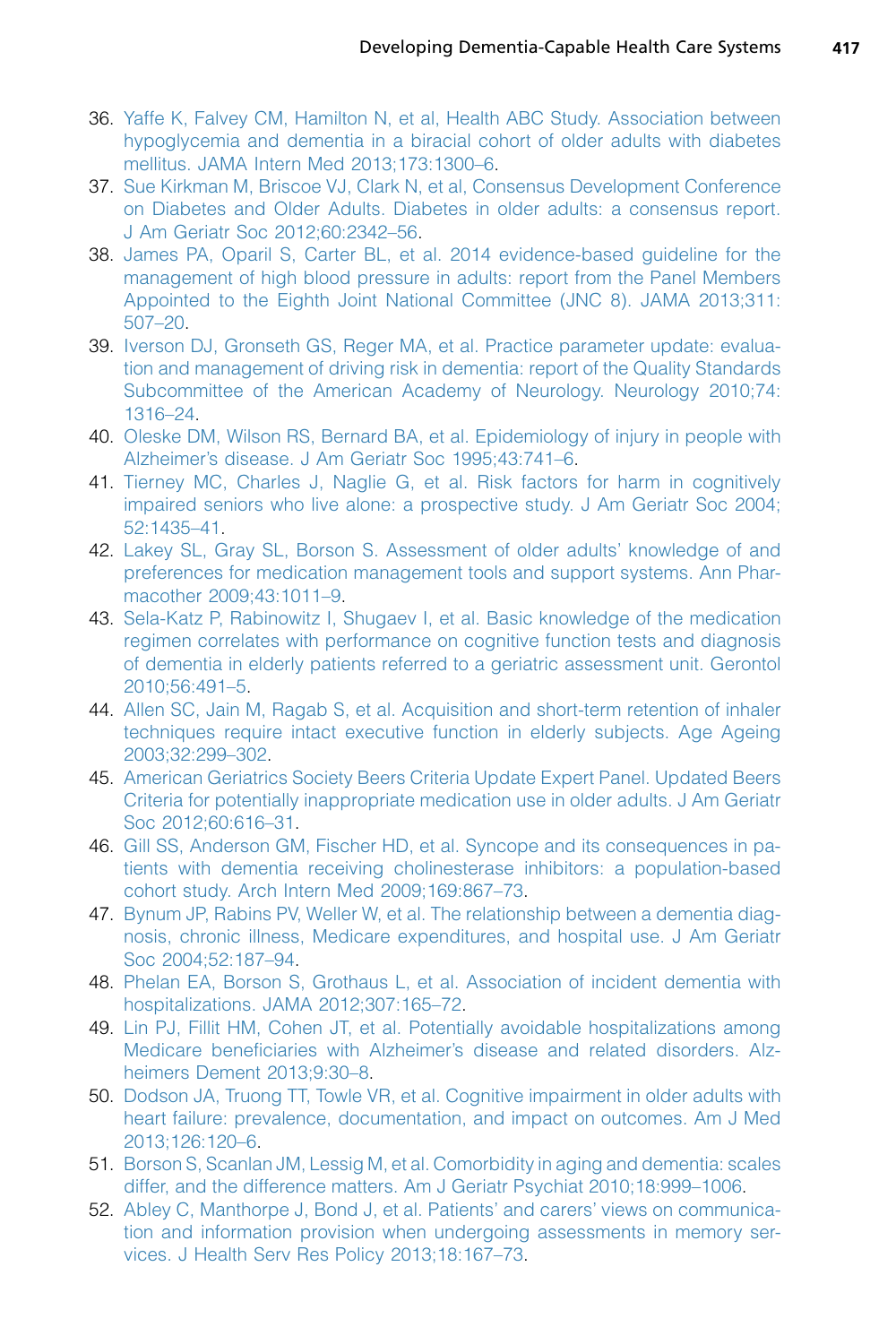- <span id="page-22-0"></span>36. [Yaffe K, Falvey CM, Hamilton N, et al, Health ABC Study. Association between](http://refhub.elsevier.com/S0749-0690(14)00046-9/sref33) [hypoglycemia and dementia in a biracial cohort of older adults with diabetes](http://refhub.elsevier.com/S0749-0690(14)00046-9/sref33) [mellitus. JAMA Intern Med 2013;173:1300–6](http://refhub.elsevier.com/S0749-0690(14)00046-9/sref33).
- 37. [Sue Kirkman M, Briscoe VJ, Clark N, et al, Consensus Development Conference](http://refhub.elsevier.com/S0749-0690(14)00046-9/sref34) [on Diabetes and Older Adults. Diabetes in older adults: a consensus report.](http://refhub.elsevier.com/S0749-0690(14)00046-9/sref34) [J Am Geriatr Soc 2012;60:2342–56](http://refhub.elsevier.com/S0749-0690(14)00046-9/sref34).
- 38. [James PA, Oparil S, Carter BL, et al. 2014 evidence-based guideline for the](http://refhub.elsevier.com/S0749-0690(14)00046-9/sref35) [management of high blood pressure in adults: report from the Panel Members](http://refhub.elsevier.com/S0749-0690(14)00046-9/sref35) [Appointed to the Eighth Joint National Committee \(JNC 8\). JAMA 2013;311:](http://refhub.elsevier.com/S0749-0690(14)00046-9/sref35) [507–20.](http://refhub.elsevier.com/S0749-0690(14)00046-9/sref35)
- 39. [Iverson DJ, Gronseth GS, Reger MA, et al. Practice parameter update: evalua](http://refhub.elsevier.com/S0749-0690(14)00046-9/sref36)[tion and management of driving risk in dementia: report of the Quality Standards](http://refhub.elsevier.com/S0749-0690(14)00046-9/sref36) [Subcommittee of the American Academy of Neurology. Neurology 2010;74:](http://refhub.elsevier.com/S0749-0690(14)00046-9/sref36) [1316–24.](http://refhub.elsevier.com/S0749-0690(14)00046-9/sref36)
- 40. [Oleske DM, Wilson RS, Bernard BA, et al. Epidemiology of injury in people with](http://refhub.elsevier.com/S0749-0690(14)00046-9/sref37) [Alzheimer's disease. J Am Geriatr Soc 1995;43:741–6.](http://refhub.elsevier.com/S0749-0690(14)00046-9/sref37)
- 41. [Tierney MC, Charles J, Naglie G, et al. Risk factors for harm in cognitively](http://refhub.elsevier.com/S0749-0690(14)00046-9/sref38) [impaired seniors who live alone: a prospective study. J Am Geriatr Soc 2004;](http://refhub.elsevier.com/S0749-0690(14)00046-9/sref38) [52:1435–41](http://refhub.elsevier.com/S0749-0690(14)00046-9/sref38).
- 42. [Lakey SL, Gray SL, Borson S. Assessment of older adults' knowledge of and](http://refhub.elsevier.com/S0749-0690(14)00046-9/sref39) [preferences for medication management tools and support systems. Ann Phar](http://refhub.elsevier.com/S0749-0690(14)00046-9/sref39)[macother 2009;43:1011–9](http://refhub.elsevier.com/S0749-0690(14)00046-9/sref39).
- 43. [Sela-Katz P, Rabinowitz I, Shugaev I, et al. Basic knowledge of the medication](http://refhub.elsevier.com/S0749-0690(14)00046-9/sref40) [regimen correlates with performance on cognitive function tests and diagnosis](http://refhub.elsevier.com/S0749-0690(14)00046-9/sref40) [of dementia in elderly patients referred to a geriatric assessment unit. Gerontol](http://refhub.elsevier.com/S0749-0690(14)00046-9/sref40) [2010;56:491–5.](http://refhub.elsevier.com/S0749-0690(14)00046-9/sref40)
- 44. [Allen SC, Jain M, Ragab S, et al. Acquisition and short-term retention of inhaler](http://refhub.elsevier.com/S0749-0690(14)00046-9/sref41) [techniques require intact executive function in elderly subjects. Age Ageing](http://refhub.elsevier.com/S0749-0690(14)00046-9/sref41) [2003;32:299–302.](http://refhub.elsevier.com/S0749-0690(14)00046-9/sref41)
- 45. [American Geriatrics Society Beers Criteria Update Expert Panel. Updated Beers](http://refhub.elsevier.com/S0749-0690(14)00046-9/sref42) [Criteria for potentially inappropriate medication use in older adults. J Am Geriatr](http://refhub.elsevier.com/S0749-0690(14)00046-9/sref42) [Soc 2012;60:616–31](http://refhub.elsevier.com/S0749-0690(14)00046-9/sref42).
- 46. [Gill SS, Anderson GM, Fischer HD, et al. Syncope and its consequences in pa](http://refhub.elsevier.com/S0749-0690(14)00046-9/sref43)[tients with dementia receiving cholinesterase inhibitors: a population-based](http://refhub.elsevier.com/S0749-0690(14)00046-9/sref43) [cohort study. Arch Intern Med 2009;169:867–73](http://refhub.elsevier.com/S0749-0690(14)00046-9/sref43).
- 47. [Bynum JP, Rabins PV, Weller W, et al. The relationship between a dementia diag](http://refhub.elsevier.com/S0749-0690(14)00046-9/sref44)[nosis, chronic illness, Medicare expenditures, and hospital use. J Am Geriatr](http://refhub.elsevier.com/S0749-0690(14)00046-9/sref44) [Soc 2004;52:187–94](http://refhub.elsevier.com/S0749-0690(14)00046-9/sref44).
- 48. [Phelan EA, Borson S, Grothaus L, et al. Association of incident dementia with](http://refhub.elsevier.com/S0749-0690(14)00046-9/sref45) [hospitalizations. JAMA 2012;307:165–72.](http://refhub.elsevier.com/S0749-0690(14)00046-9/sref45)
- 49. [Lin PJ, Fillit HM, Cohen JT, et al. Potentially avoidable hospitalizations among](http://refhub.elsevier.com/S0749-0690(14)00046-9/sref46) [Medicare beneficiaries with Alzheimer's disease and related disorders. Alz](http://refhub.elsevier.com/S0749-0690(14)00046-9/sref46)[heimers Dement 2013;9:30–8.](http://refhub.elsevier.com/S0749-0690(14)00046-9/sref46)
- 50. [Dodson JA, Truong TT, Towle VR, et al. Cognitive impairment in older adults with](http://refhub.elsevier.com/S0749-0690(14)00046-9/sref47) [heart failure: prevalence, documentation, and impact on outcomes. Am J Med](http://refhub.elsevier.com/S0749-0690(14)00046-9/sref47) [2013;126:120–6.](http://refhub.elsevier.com/S0749-0690(14)00046-9/sref47)
- 51. [Borson S, Scanlan JM, Lessig M, et al. Comorbidity in aging and dementia: scales](http://refhub.elsevier.com/S0749-0690(14)00046-9/sref48) [differ, and the difference matters. Am J Geriatr Psychiat 2010;18:999–1006.](http://refhub.elsevier.com/S0749-0690(14)00046-9/sref48)
- 52. [Abley C, Manthorpe J, Bond J, et al. Patients' and carers' views on communica](http://refhub.elsevier.com/S0749-0690(14)00046-9/sref49)[tion and information provision when undergoing assessments in memory ser](http://refhub.elsevier.com/S0749-0690(14)00046-9/sref49)[vices. J Health Serv Res Policy 2013;18:167–73](http://refhub.elsevier.com/S0749-0690(14)00046-9/sref49).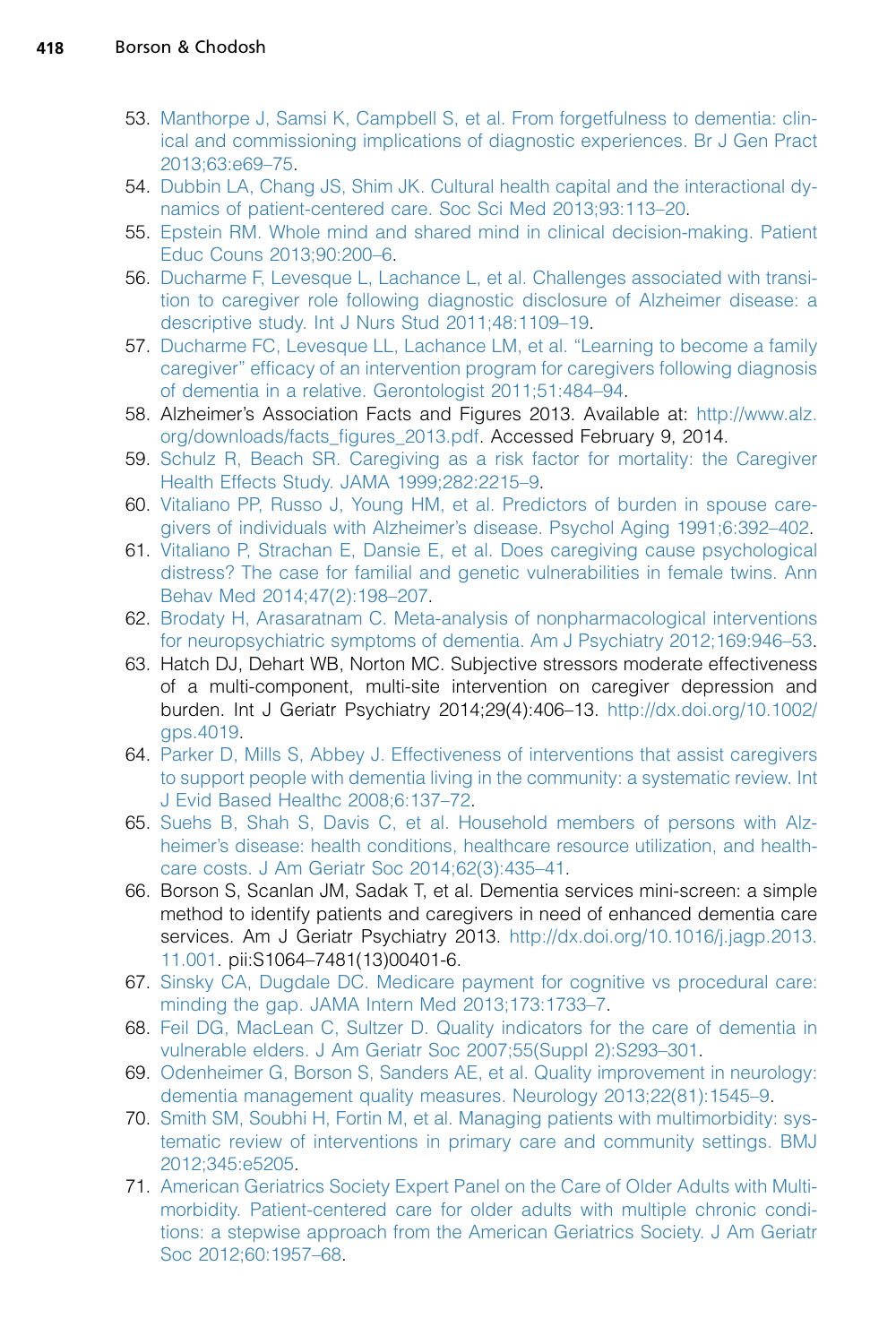- <span id="page-23-0"></span>53. [Manthorpe J, Samsi K, Campbell S, et al. From forgetfulness to dementia: clin](http://refhub.elsevier.com/S0749-0690(14)00046-9/sref50)[ical and commissioning implications of diagnostic experiences. Br J Gen Pract](http://refhub.elsevier.com/S0749-0690(14)00046-9/sref50) [2013;63:e69–75](http://refhub.elsevier.com/S0749-0690(14)00046-9/sref50).
- 54. [Dubbin LA, Chang JS, Shim JK. Cultural health capital and the interactional dy](http://refhub.elsevier.com/S0749-0690(14)00046-9/sref51)[namics of patient-centered care. Soc Sci Med 2013;93:113–20](http://refhub.elsevier.com/S0749-0690(14)00046-9/sref51).
- 55. [Epstein RM. Whole mind and shared mind in clinical decision-making. Patient](http://refhub.elsevier.com/S0749-0690(14)00046-9/sref52) [Educ Couns 2013;90:200–6](http://refhub.elsevier.com/S0749-0690(14)00046-9/sref52).
- 56. [Ducharme F, Levesque L, Lachance L, et al. Challenges associated with transi](http://refhub.elsevier.com/S0749-0690(14)00046-9/sref53)[tion to caregiver role following diagnostic disclosure of Alzheimer disease: a](http://refhub.elsevier.com/S0749-0690(14)00046-9/sref53) [descriptive study. Int J Nurs Stud 2011;48:1109–19.](http://refhub.elsevier.com/S0749-0690(14)00046-9/sref53)
- 57. [Ducharme FC, Levesque LL, Lachance LM, et al. "Learning to become a family](http://refhub.elsevier.com/S0749-0690(14)00046-9/sref54) [caregiver" efficacy of an intervention program for caregivers following diagnosis](http://refhub.elsevier.com/S0749-0690(14)00046-9/sref54) [of dementia in a relative. Gerontologist 2011;51:484–94.](http://refhub.elsevier.com/S0749-0690(14)00046-9/sref54)
- 58. Alzheimer's Association Facts and Figures 2013. Available at: [http://www.alz.](http://www.alz.org/downloads/facts_figures_2013.pdf) [org/downloads/facts\\_figures\\_2013.pdf](http://www.alz.org/downloads/facts_figures_2013.pdf). Accessed February 9, 2014.
- 59. [Schulz R, Beach SR. Caregiving as a risk factor for mortality: the Caregiver](http://refhub.elsevier.com/S0749-0690(14)00046-9/sref55) [Health Effects Study. JAMA 1999;282:2215–9.](http://refhub.elsevier.com/S0749-0690(14)00046-9/sref55)
- 60. [Vitaliano PP, Russo J, Young HM, et al. Predictors of burden in spouse care](http://refhub.elsevier.com/S0749-0690(14)00046-9/sref56)[givers of individuals with Alzheimer's disease. Psychol Aging 1991;6:392–402](http://refhub.elsevier.com/S0749-0690(14)00046-9/sref56).
- 61. [Vitaliano P, Strachan E, Dansie E, et al. Does caregiving cause psychological](http://refhub.elsevier.com/S0749-0690(14)00046-9/sref57) [distress? The case for familial and genetic vulnerabilities in female twins. Ann](http://refhub.elsevier.com/S0749-0690(14)00046-9/sref57) [Behav Med 2014;47\(2\):198–207](http://refhub.elsevier.com/S0749-0690(14)00046-9/sref57).
- 62. [Brodaty H, Arasaratnam C. Meta-analysis of nonpharmacological interventions](http://refhub.elsevier.com/S0749-0690(14)00046-9/sref58) [for neuropsychiatric symptoms of dementia. Am J Psychiatry 2012;169:946–53.](http://refhub.elsevier.com/S0749-0690(14)00046-9/sref58)
- 63. Hatch DJ, Dehart WB, Norton MC. Subjective stressors moderate effectiveness of a multi-component, multi-site intervention on caregiver depression and burden. Int J Geriatr Psychiatry 2014;29(4):406–13. [http://dx.doi.org/10.1002/](http://dx.doi.org/10.1002/gps.4019) [gps.4019](http://dx.doi.org/10.1002/gps.4019).
- 64. [Parker D, Mills S, Abbey J. Effectiveness of interventions that assist caregivers](http://refhub.elsevier.com/S0749-0690(14)00046-9/sref60) [to support people with dementia living in the community: a systematic review. Int](http://refhub.elsevier.com/S0749-0690(14)00046-9/sref60) [J Evid Based Healthc 2008;6:137–72.](http://refhub.elsevier.com/S0749-0690(14)00046-9/sref60)
- 65. [Suehs B, Shah S, Davis C, et al. Household members of persons with Alz](http://refhub.elsevier.com/S0749-0690(14)00046-9/sref61)[heimer's disease: health conditions, healthcare resource utilization, and health](http://refhub.elsevier.com/S0749-0690(14)00046-9/sref61)[care costs. J Am Geriatr Soc 2014;62\(3\):435–41](http://refhub.elsevier.com/S0749-0690(14)00046-9/sref61).
- 66. Borson S, Scanlan JM, Sadak T, et al. Dementia services mini-screen: a simple method to identify patients and caregivers in need of enhanced dementia care services. Am J Geriatr Psychiatry 2013. [http://dx.doi.org/10.1016/j.jagp.2013.](http://dx.doi.org/10.1016/j.jagp.2013.11.001) [11.001.](http://dx.doi.org/10.1016/j.jagp.2013.11.001) pii:S1064–7481(13)00401-6.
- 67. [Sinsky CA, Dugdale DC. Medicare payment for cognitive vs procedural care:](http://refhub.elsevier.com/S0749-0690(14)00046-9/sref63) [minding the gap. JAMA Intern Med 2013;173:1733–7](http://refhub.elsevier.com/S0749-0690(14)00046-9/sref63).
- 68. [Feil DG, MacLean C, Sultzer D. Quality indicators for the care of dementia in](http://refhub.elsevier.com/S0749-0690(14)00046-9/sref64) [vulnerable elders. J Am Geriatr Soc 2007;55\(Suppl 2\):S293–301.](http://refhub.elsevier.com/S0749-0690(14)00046-9/sref64)
- 69. [Odenheimer G, Borson S, Sanders AE, et al. Quality improvement in neurology:](http://refhub.elsevier.com/S0749-0690(14)00046-9/sref65) [dementia management quality measures. Neurology 2013;22\(81\):1545–9](http://refhub.elsevier.com/S0749-0690(14)00046-9/sref65).
- 70. [Smith SM, Soubhi H, Fortin M, et al. Managing patients with multimorbidity: sys](http://refhub.elsevier.com/S0749-0690(14)00046-9/sref66)[tematic review of interventions in primary care and community settings. BMJ](http://refhub.elsevier.com/S0749-0690(14)00046-9/sref66) [2012;345:e5205.](http://refhub.elsevier.com/S0749-0690(14)00046-9/sref66)
- 71. [American Geriatrics Society Expert Panel on the Care of Older Adults with Multi](http://refhub.elsevier.com/S0749-0690(14)00046-9/sref67)[morbidity. Patient-centered care for older adults with multiple chronic condi](http://refhub.elsevier.com/S0749-0690(14)00046-9/sref67)[tions: a stepwise approach from the American Geriatrics Society. J Am Geriatr](http://refhub.elsevier.com/S0749-0690(14)00046-9/sref67) [Soc 2012;60:1957–68.](http://refhub.elsevier.com/S0749-0690(14)00046-9/sref67)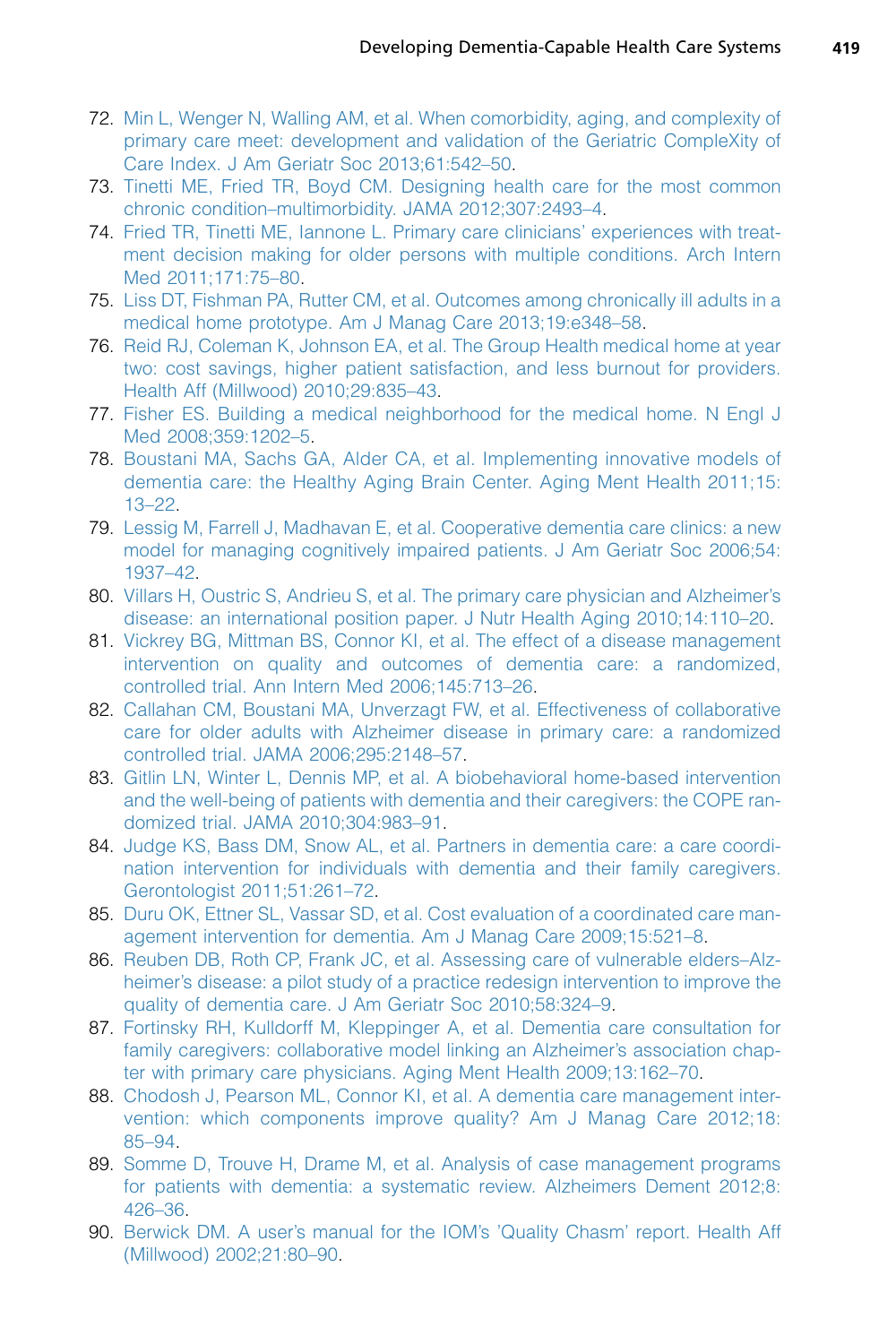- <span id="page-24-0"></span>72. [Min L, Wenger N, Walling AM, et al. When comorbidity, aging, and complexity of](http://refhub.elsevier.com/S0749-0690(14)00046-9/sref68) [primary care meet: development and validation of the Geriatric CompleXity of](http://refhub.elsevier.com/S0749-0690(14)00046-9/sref68) [Care Index. J Am Geriatr Soc 2013;61:542–50.](http://refhub.elsevier.com/S0749-0690(14)00046-9/sref68)
- 73. [Tinetti ME, Fried TR, Boyd CM. Designing health care for the most common](http://refhub.elsevier.com/S0749-0690(14)00046-9/sref69) [chronic condition–multimorbidity. JAMA 2012;307:2493–4](http://refhub.elsevier.com/S0749-0690(14)00046-9/sref69).
- 74. [Fried TR, Tinetti ME, Iannone L. Primary care clinicians' experiences with treat](http://refhub.elsevier.com/S0749-0690(14)00046-9/sref70)[ment decision making for older persons with multiple conditions. Arch Intern](http://refhub.elsevier.com/S0749-0690(14)00046-9/sref70) [Med 2011;171:75–80.](http://refhub.elsevier.com/S0749-0690(14)00046-9/sref70)
- 75. [Liss DT, Fishman PA, Rutter CM, et al. Outcomes among chronically ill adults in a](http://refhub.elsevier.com/S0749-0690(14)00046-9/sref71) [medical home prototype. Am J Manag Care 2013;19:e348–58](http://refhub.elsevier.com/S0749-0690(14)00046-9/sref71).
- 76. [Reid RJ, Coleman K, Johnson EA, et al. The Group Health medical home at year](http://refhub.elsevier.com/S0749-0690(14)00046-9/sref72) [two: cost savings, higher patient satisfaction, and less burnout for providers.](http://refhub.elsevier.com/S0749-0690(14)00046-9/sref72) [Health Aff \(Millwood\) 2010;29:835–43.](http://refhub.elsevier.com/S0749-0690(14)00046-9/sref72)
- 77. [Fisher ES. Building a medical neighborhood for the medical home. N Engl J](http://refhub.elsevier.com/S0749-0690(14)00046-9/sref73) [Med 2008;359:1202–5.](http://refhub.elsevier.com/S0749-0690(14)00046-9/sref73)
- 78. [Boustani MA, Sachs GA, Alder CA, et al. Implementing innovative models of](http://refhub.elsevier.com/S0749-0690(14)00046-9/sref74) [dementia care: the Healthy Aging Brain Center. Aging Ment Health 2011;15:](http://refhub.elsevier.com/S0749-0690(14)00046-9/sref74) [13–22](http://refhub.elsevier.com/S0749-0690(14)00046-9/sref74).
- 79. [Lessig M, Farrell J, Madhavan E, et al. Cooperative dementia care clinics: a new](http://refhub.elsevier.com/S0749-0690(14)00046-9/sref75) [model for managing cognitively impaired patients. J Am Geriatr Soc 2006;54:](http://refhub.elsevier.com/S0749-0690(14)00046-9/sref75) [1937–42.](http://refhub.elsevier.com/S0749-0690(14)00046-9/sref75)
- 80. [Villars H, Oustric S, Andrieu S, et al. The primary care physician and Alzheimer's](http://refhub.elsevier.com/S0749-0690(14)00046-9/sref76) [disease: an international position paper. J Nutr Health Aging 2010;14:110–20.](http://refhub.elsevier.com/S0749-0690(14)00046-9/sref76)
- 81. [Vickrey BG, Mittman BS, Connor KI, et al. The effect of a disease management](http://refhub.elsevier.com/S0749-0690(14)00046-9/sref77) [intervention on quality and outcomes of dementia care: a randomized,](http://refhub.elsevier.com/S0749-0690(14)00046-9/sref77) [controlled trial. Ann Intern Med 2006;145:713–26.](http://refhub.elsevier.com/S0749-0690(14)00046-9/sref77)
- 82. [Callahan CM, Boustani MA, Unverzagt FW, et al. Effectiveness of collaborative](http://refhub.elsevier.com/S0749-0690(14)00046-9/sref78) [care for older adults with Alzheimer disease in primary care: a randomized](http://refhub.elsevier.com/S0749-0690(14)00046-9/sref78) [controlled trial. JAMA 2006;295:2148–57.](http://refhub.elsevier.com/S0749-0690(14)00046-9/sref78)
- 83. [Gitlin LN, Winter L, Dennis MP, et al. A biobehavioral home-based intervention](http://refhub.elsevier.com/S0749-0690(14)00046-9/sref79) [and the well-being of patients with dementia and their caregivers: the COPE ran](http://refhub.elsevier.com/S0749-0690(14)00046-9/sref79)[domized trial. JAMA 2010;304:983–91](http://refhub.elsevier.com/S0749-0690(14)00046-9/sref79).
- 84. [Judge KS, Bass DM, Snow AL, et al. Partners in dementia care: a care coordi](http://refhub.elsevier.com/S0749-0690(14)00046-9/sref80)[nation intervention for individuals with dementia and their family caregivers.](http://refhub.elsevier.com/S0749-0690(14)00046-9/sref80) [Gerontologist 2011;51:261–72](http://refhub.elsevier.com/S0749-0690(14)00046-9/sref80).
- 85. [Duru OK, Ettner SL, Vassar SD, et al. Cost evaluation of a coordinated care man](http://refhub.elsevier.com/S0749-0690(14)00046-9/sref81)[agement intervention for dementia. Am J Manag Care 2009;15:521–8](http://refhub.elsevier.com/S0749-0690(14)00046-9/sref81).
- 86. [Reuben DB, Roth CP, Frank JC, et al. Assessing care of vulnerable elders–Alz](http://refhub.elsevier.com/S0749-0690(14)00046-9/sref82)[heimer's disease: a pilot study of a practice redesign intervention to improve the](http://refhub.elsevier.com/S0749-0690(14)00046-9/sref82) [quality of dementia care. J Am Geriatr Soc 2010;58:324–9.](http://refhub.elsevier.com/S0749-0690(14)00046-9/sref82)
- 87. [Fortinsky RH, Kulldorff M, Kleppinger A, et al. Dementia care consultation for](http://refhub.elsevier.com/S0749-0690(14)00046-9/sref83) [family caregivers: collaborative model linking an Alzheimer's association chap](http://refhub.elsevier.com/S0749-0690(14)00046-9/sref83)[ter with primary care physicians. Aging Ment Health 2009;13:162–70.](http://refhub.elsevier.com/S0749-0690(14)00046-9/sref83)
- 88. [Chodosh J, Pearson ML, Connor KI, et al. A dementia care management inter](http://refhub.elsevier.com/S0749-0690(14)00046-9/sref84)[vention: which components improve quality? Am J Manag Care 2012;18:](http://refhub.elsevier.com/S0749-0690(14)00046-9/sref84) [85–94](http://refhub.elsevier.com/S0749-0690(14)00046-9/sref84).
- 89. [Somme D, Trouve H, Drame M, et al. Analysis of case management programs](http://refhub.elsevier.com/S0749-0690(14)00046-9/sref85) [for patients with dementia: a systematic review. Alzheimers Dement 2012;8:](http://refhub.elsevier.com/S0749-0690(14)00046-9/sref85) [426–36.](http://refhub.elsevier.com/S0749-0690(14)00046-9/sref85)
- 90. [Berwick DM. A user's manual for the IOM's 'Quality Chasm' report. Health Aff](http://refhub.elsevier.com/S0749-0690(14)00046-9/sref86) [\(Millwood\) 2002;21:80–90.](http://refhub.elsevier.com/S0749-0690(14)00046-9/sref86)